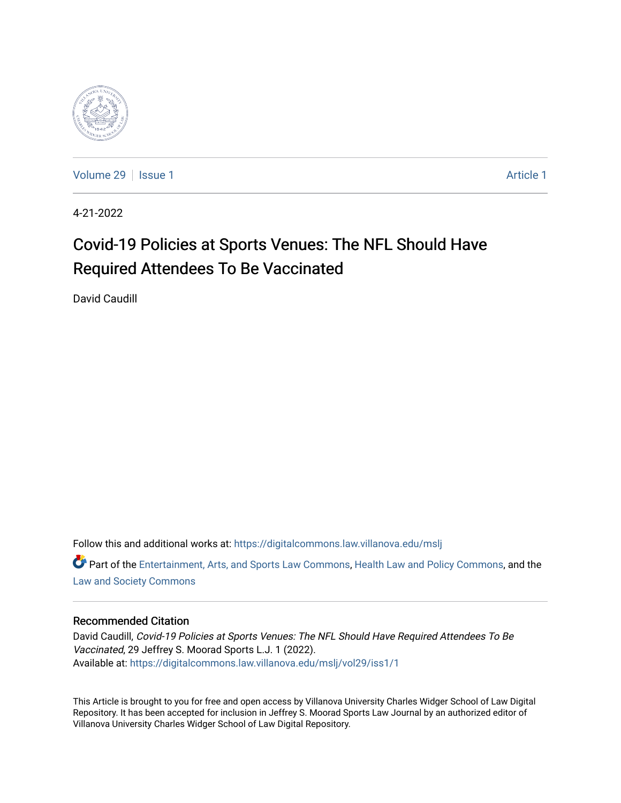

[Volume 29](https://digitalcommons.law.villanova.edu/mslj/vol29) | [Issue 1](https://digitalcommons.law.villanova.edu/mslj/vol29/iss1) [Article 1](https://digitalcommons.law.villanova.edu/mslj/vol29/iss1/1) Article 1 Article 1 Article 1 Article 1 Article 1 Article 1 Article 1 Article 1

4-21-2022

# Covid-19 Policies at Sports Venues: The NFL Should Have Required Attendees To Be Vaccinated

David Caudill

Follow this and additional works at: [https://digitalcommons.law.villanova.edu/mslj](https://digitalcommons.law.villanova.edu/mslj?utm_source=digitalcommons.law.villanova.edu%2Fmslj%2Fvol29%2Fiss1%2F1&utm_medium=PDF&utm_campaign=PDFCoverPages)

**C** Part of the [Entertainment, Arts, and Sports Law Commons](http://network.bepress.com/hgg/discipline/893?utm_source=digitalcommons.law.villanova.edu%2Fmslj%2Fvol29%2Fiss1%2F1&utm_medium=PDF&utm_campaign=PDFCoverPages), [Health Law and Policy Commons,](http://network.bepress.com/hgg/discipline/901?utm_source=digitalcommons.law.villanova.edu%2Fmslj%2Fvol29%2Fiss1%2F1&utm_medium=PDF&utm_campaign=PDFCoverPages) and the [Law and Society Commons](http://network.bepress.com/hgg/discipline/853?utm_source=digitalcommons.law.villanova.edu%2Fmslj%2Fvol29%2Fiss1%2F1&utm_medium=PDF&utm_campaign=PDFCoverPages) 

### Recommended Citation

David Caudill, Covid-19 Policies at Sports Venues: The NFL Should Have Required Attendees To Be Vaccinated, 29 Jeffrey S. Moorad Sports L.J. 1 (2022). Available at: [https://digitalcommons.law.villanova.edu/mslj/vol29/iss1/1](https://digitalcommons.law.villanova.edu/mslj/vol29/iss1/1?utm_source=digitalcommons.law.villanova.edu%2Fmslj%2Fvol29%2Fiss1%2F1&utm_medium=PDF&utm_campaign=PDFCoverPages) 

This Article is brought to you for free and open access by Villanova University Charles Widger School of Law Digital Repository. It has been accepted for inclusion in Jeffrey S. Moorad Sports Law Journal by an authorized editor of Villanova University Charles Widger School of Law Digital Repository.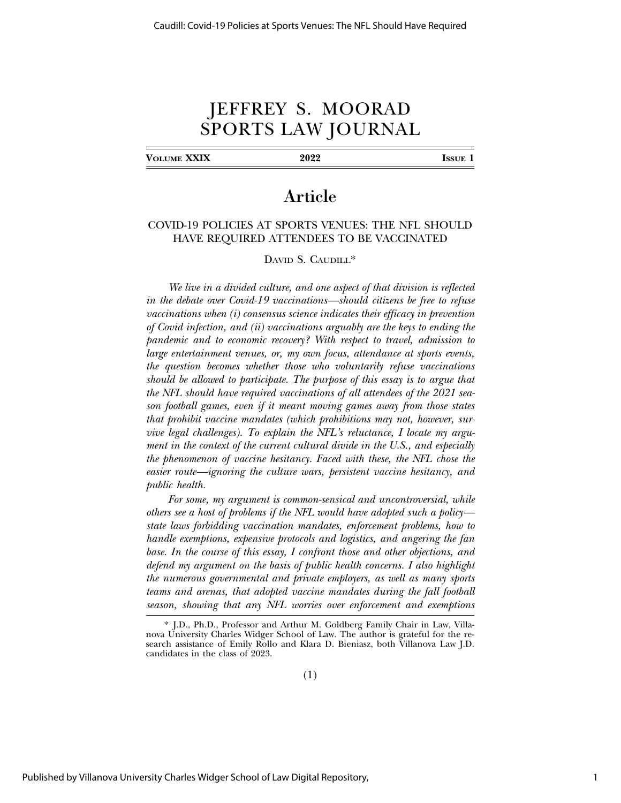## JEFFREY S. MOORAD SPORTS LAW JOURNAL

**VOLUME XXIX 2022 ISSUE 1**

### Article

#### COVID-19 POLICIES AT SPORTS VENUES: THE NFL SHOULD HAVE REQUIRED ATTENDEES TO BE VACCINATED

DAVID S. CAUDILL\*

*We live in a divided culture, and one aspect of that division is reflected in the debate over Covid-19 vaccinations—should citizens be free to refuse vaccinations when (i) consensus science indicates their efficacy in prevention of Covid infection, and (ii) vaccinations arguably are the keys to ending the pandemic and to economic recovery? With respect to travel, admission to large entertainment venues, or, my own focus, attendance at sports events, the question becomes whether those who voluntarily refuse vaccinations should be allowed to participate. The purpose of this essay is to argue that the NFL should have required vaccinations of all attendees of the 2021 season football games, even if it meant moving games away from those states that prohibit vaccine mandates (which prohibitions may not, however, survive legal challenges). To explain the NFL's reluctance, I locate my argument in the context of the current cultural divide in the U.S., and especially the phenomenon of vaccine hesitancy. Faced with these, the NFL chose the easier route—ignoring the culture wars, persistent vaccine hesitancy, and public health.*

*For some, my argument is common-sensical and uncontroversial, while others see a host of problems if the NFL would have adopted such a policy state laws forbidding vaccination mandates, enforcement problems, how to handle exemptions, expensive protocols and logistics, and angering the fan base. In the course of this essay, I confront those and other objections, and defend my argument on the basis of public health concerns. I also highlight the numerous governmental and private employers, as well as many sports teams and arenas, that adopted vaccine mandates during the fall football season, showing that any NFL worries over enforcement and exemptions*

<sup>\*</sup> J.D., Ph.D., Professor and Arthur M. Goldberg Family Chair in Law, Villanova University Charles Widger School of Law. The author is grateful for the research assistance of Emily Rollo and Klara D. Bieniasz, both Villanova Law J.D. candidates in the class of 2023.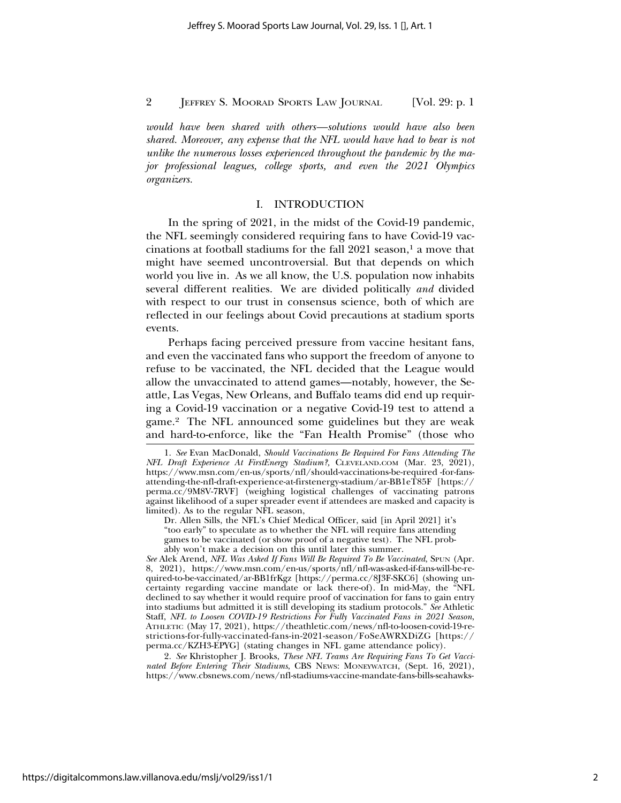*would have been shared with others—solutions would have also been shared. Moreover, any expense that the NFL would have had to bear is not unlike the numerous losses experienced throughout the pandemic by the major professional leagues, college sports, and even the 2021 Olympics organizers.*

#### I. INTRODUCTION

In the spring of 2021, in the midst of the Covid-19 pandemic, the NFL seemingly considered requiring fans to have Covid-19 vaccinations at football stadiums for the fall  $2021$  season,<sup>1</sup> a move that might have seemed uncontroversial. But that depends on which world you live in. As we all know, the U.S. population now inhabits several different realities. We are divided politically *and* divided with respect to our trust in consensus science, both of which are reflected in our feelings about Covid precautions at stadium sports events.

Perhaps facing perceived pressure from vaccine hesitant fans, and even the vaccinated fans who support the freedom of anyone to refuse to be vaccinated, the NFL decided that the League would allow the unvaccinated to attend games—notably, however, the Seattle, Las Vegas, New Orleans, and Buffalo teams did end up requiring a Covid-19 vaccination or a negative Covid-19 test to attend a game.2 The NFL announced some guidelines but they are weak and hard-to-enforce, like the "Fan Health Promise" (those who

*See* Alek Arend*, NFL Was Asked If Fans Will Be Required To Be Vaccinated*, SPUN (Apr. 8, 2021), https://www.msn.com/en-us/sports/nfl/nfl-was-asked-if-fans-will-be-required-to-be-vaccinated/ar-BB1frKgz [https://perma.cc/8J3F-SKC6] (showing uncertainty regarding vaccine mandate or lack there-of). In mid-May, the "NFL declined to say whether it would require proof of vaccination for fans to gain entry into stadiums but admitted it is still developing its stadium protocols." *See* Athletic Staff, *NFL to Loosen COVID-19 Restrictions For Fully Vaccinated Fans in 2021 Season*, ATHLETIC (May 17, 2021), https://theathletic.com/news/nfl-to-loosen-covid-19-restrictions-for-fully-vaccinated-fans-in-2021-season/FoSeAWRXDiZG [https:// perma.cc/KZH3-EPYG] (stating changes in NFL game attendance policy).

2. *See* Khristopher J. Brooks, *These NFL Teams Are Requiring Fans To Get Vaccinated Before Entering Their Stadiums*, CBS NEWS: MONEYWATCH, (Sept. 16, 2021), https://www.cbsnews.com/news/nfl-stadiums-vaccine-mandate-fans-bills-seahawks-

<sup>1.</sup> *See* Evan MacDonald, *Should Vaccinations Be Required For Fans Attending The NFL Draft Experience At FirstEnergy Stadium?,* CLEVELAND.COM (Mar. 23, 2021), https://www.msn.com/en-us/sports/nfl/should-vaccinations-be-required -for-fansattending-the-nfl-draft-experience-at-firstenergy-stadium/ar-BB1eT85F [https:// perma.cc/9M8V-7RVF] (weighing logistical challenges of vaccinating patrons against likelihood of a super spreader event if attendees are masked and capacity is limited). As to the regular NFL season,

Dr. Allen Sills, the NFL's Chief Medical Officer, said [in April 2021] it's "too early" to speculate as to whether the NFL will require fans attending games to be vaccinated (or show proof of a negative test). The NFL probably won't make a decision on this until later this summer.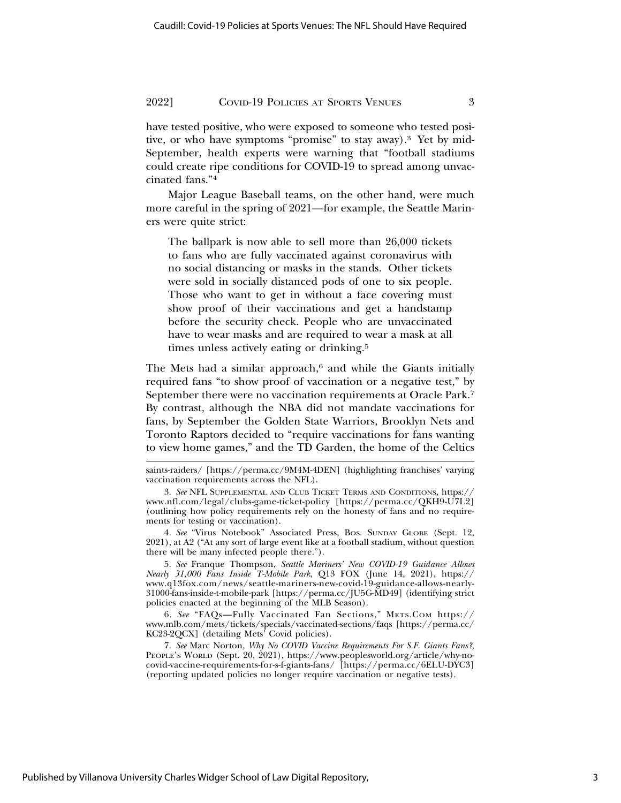have tested positive, who were exposed to someone who tested positive, or who have symptoms "promise" to stay away).3 Yet by mid-September, health experts were warning that "football stadiums could create ripe conditions for COVID-19 to spread among unvaccinated fans."4

Major League Baseball teams, on the other hand, were much more careful in the spring of 2021—for example, the Seattle Mariners were quite strict:

The ballpark is now able to sell more than 26,000 tickets to fans who are fully vaccinated against coronavirus with no social distancing or masks in the stands. Other tickets were sold in socially distanced pods of one to six people. Those who want to get in without a face covering must show proof of their vaccinations and get a handstamp before the security check. People who are unvaccinated have to wear masks and are required to wear a mask at all times unless actively eating or drinking.5

The Mets had a similar approach,<sup>6</sup> and while the Giants initially required fans "to show proof of vaccination or a negative test," by September there were no vaccination requirements at Oracle Park.7 By contrast, although the NBA did not mandate vaccinations for fans, by September the Golden State Warriors, Brooklyn Nets and Toronto Raptors decided to "require vaccinations for fans wanting to view home games," and the TD Garden, the home of the Celtics

4. *See* "Virus Notebook" Associated Press, BOS. SUNDAY GLOBE (Sept. 12, 2021), at A2 ("At any sort of large event like at a football stadium, without question there will be many infected people there.").

5. *See* Franque Thompson, *Seattle Mariners' New COVID-19 Guidance Allows Nearly 31,000 Fans Inside T-Mobile Park*, Q13 FOX (June 14, 2021), https:// www.q13fox.com/news/seattle-mariners-new-covid-19-guidance-allows-nearly-31000-fans-inside-t-mobile-park [https://perma.cc/JU5G-MD49] (identifying strict policies enacted at the beginning of the MLB Season).

6. *See* "FAQs—Fully Vaccinated Fan Sections," METS.COM https:// www.mlb.com/mets/tickets/specials/vaccinated-sections/faqs [https://perma.cc/ KC23-2QCX] (detailing Mets' Covid policies).

7. *See* Marc Norton, *Why No COVID Vaccine Requirements For S.F. Giants Fans?*, PEOPLE's WORLD (Sept. 20, 2021), https://www.peoplesworld.org/article/why-nocovid-vaccine-requirements-for-s-f-giants-fans/ [https://perma.cc/6ELU-DYC3] (reporting updated policies no longer require vaccination or negative tests).

saints-raiders/ [https://perma.cc/9M4M-4DEN] (highlighting franchises' varying vaccination requirements across the NFL).

<sup>3.</sup> *See* NFL SUPPLEMENTAL AND CLUB TICKET TERMS AND CONDITIONS, https:// www.nfl.com/legal/clubs-game-ticket-policy [https://perma.cc/QKH9-U7L2] (outlining how policy requirements rely on the honesty of fans and no requirements for testing or vaccination).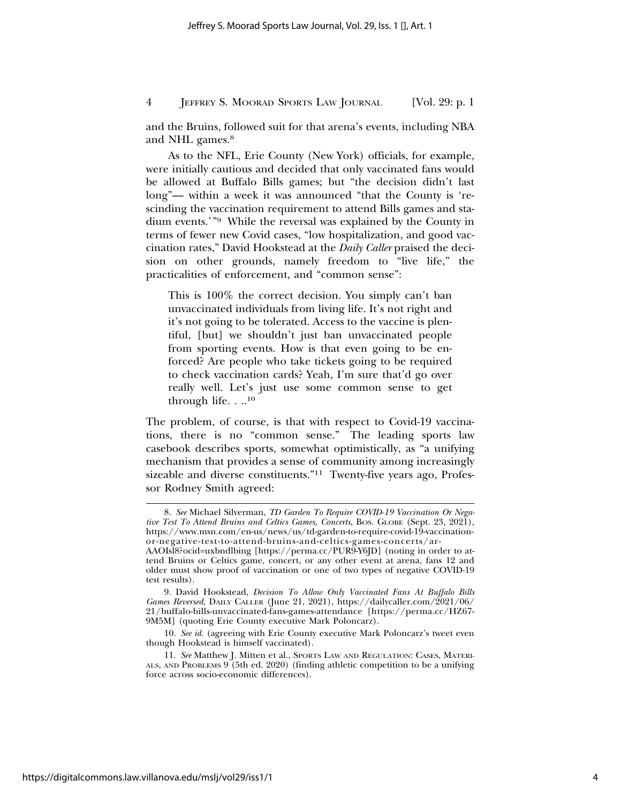and the Bruins, followed suit for that arena's events, including NBA and NHL games.<sup>8</sup>

As to the NFL, Erie County (New York) officials, for example, were initially cautious and decided that only vaccinated fans would be allowed at Buffalo Bills games; but "the decision didn't last long"— within a week it was announced "that the County is 'rescinding the vaccination requirement to attend Bills games and stadium events.'"9 While the reversal was explained by the County in terms of fewer new Covid cases, "low hospitalization, and good vaccination rates," David Hookstead at the *Daily Caller* praised the decision on other grounds, namely freedom to "live life," the practicalities of enforcement, and "common sense":

This is 100% the correct decision. You simply can't ban unvaccinated individuals from living life. It's not right and it's not going to be tolerated. Access to the vaccine is plentiful, [but] we shouldn't just ban unvaccinated people from sporting events. How is that even going to be enforced? Are people who take tickets going to be required to check vaccination cards? Yeah, I'm sure that'd go over really well. Let's just use some common sense to get through life.  $\ldots$ <sup>10</sup>

The problem, of course, is that with respect to Covid-19 vaccinations, there is no "common sense." The leading sports law casebook describes sports, somewhat optimistically, as "a unifying mechanism that provides a sense of community among increasingly sizeable and diverse constituents."11 Twenty-five years ago, Professor Rodney Smith agreed:

<sup>8.</sup> *See* Michael Silverman, *TD Garden To Require COVID-19 Vaccination Or Negative Test To Attend Bruins and Celtics Games, Concerts, BOS. GLOBE (Sept. 23, 2021),* https://www.msn.com/en-us/news/us/td-garden-to-require-covid-19-vaccinationor-negative-test-to-attend-bruins-and-celtics-games-concerts/ar-

AAOIsl8?ocid=uxbndlbing [https://perma.cc/PUR9-Y6JD] (noting in order to attend Bruins or Celtics game, concert, or any other event at arena, fans 12 and older must show proof of vaccination or one of two types of negative COVID-19 test results).

<sup>9.</sup> David Hookstead, *Decision To Allow Only Vaccinated Fans At Buffalo Bills Games Reversed*, DAILY CALLER (June 21, 2021), https://dailycaller.com/2021/06/ 21/buffalo-bills-unvaccinated-fans-games-attendance [https://perma.cc/HZ67- 9M5M] (quoting Erie County executive Mark Poloncarz).

<sup>10.</sup> *See id*. (agreeing with Erie County executive Mark Poloncarz's tweet even though Hookstead is himself vaccinated).

<sup>11.</sup> *See* Matthew J. Mitten et al., SPORTS LAW AND REGULATION: CASES, MATERI-ALS, AND PROBLEMS 9 (5th ed. 2020) (finding athletic competition to be a unifying force across socio-economic differences).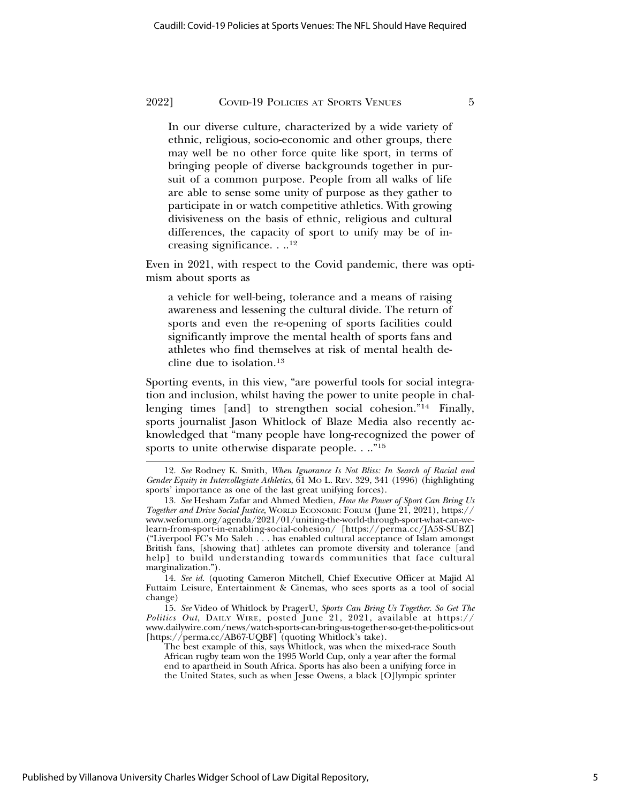In our diverse culture, characterized by a wide variety of ethnic, religious, socio-economic and other groups, there may well be no other force quite like sport, in terms of bringing people of diverse backgrounds together in pursuit of a common purpose. People from all walks of life are able to sense some unity of purpose as they gather to participate in or watch competitive athletics. With growing divisiveness on the basis of ethnic, religious and cultural differences, the capacity of sport to unify may be of increasing significance. . ..12

Even in 2021, with respect to the Covid pandemic, there was optimism about sports as

a vehicle for well-being, tolerance and a means of raising awareness and lessening the cultural divide. The return of sports and even the re-opening of sports facilities could significantly improve the mental health of sports fans and athletes who find themselves at risk of mental health decline due to isolation.13

Sporting events, in this view, "are powerful tools for social integration and inclusion, whilst having the power to unite people in challenging times [and] to strengthen social cohesion."14 Finally, sports journalist Jason Whitlock of Blaze Media also recently acknowledged that "many people have long-recognized the power of sports to unite otherwise disparate people. . .."<sup>15</sup>

<sup>12.</sup> *See* Rodney K. Smith, *When Ignorance Is Not Bliss: In Search of Racial and Gender Equity in Intercollegiate Athletics*, 61 MO L. REV. 329, 341 (1996) (highlighting sports' importance as one of the last great unifying forces).

<sup>13.</sup> *See* Hesham Zafar and Ahmed Medien, *How the Power of Sport Can Bring Us Together and Drive Social Justice*, WORLD ECONOMIC FORUM (June 21, 2021), https:// www.weforum.org/agenda/2021/01/uniting-the-world-through-sport-what-can-welearn-from-sport-in-enabling-social-cohesion/ [https://perma.cc/JA5S-SUBZ] ("Liverpool FC's Mo Saleh . . . has enabled cultural acceptance of Islam amongst British fans, [showing that] athletes can promote diversity and tolerance [and help] to build understanding towards communities that face cultural marginalization.").

<sup>14.</sup> *See id.* (quoting Cameron Mitchell, Chief Executive Officer at Majid Al Futtaim Leisure, Entertainment & Cinemas, who sees sports as a tool of social change)

<sup>15.</sup> *See* Video of Whitlock by PragerU, *Sports Can Bring Us Together. So Get The Politics Out*, DAILY WIRE, posted June 21, 2021, available at https:// www.dailywire.com/news/watch-sports-can-bring-us-together-so-get-the-politics-out [https://perma.cc/AB67-UQBF] (quoting Whitlock's take).

The best example of this, says Whitlock, was when the mixed-race South African rugby team won the 1995 World Cup, only a year after the formal end to apartheid in South Africa. Sports has also been a unifying force in the United States, such as when Jesse Owens, a black [O]lympic sprinter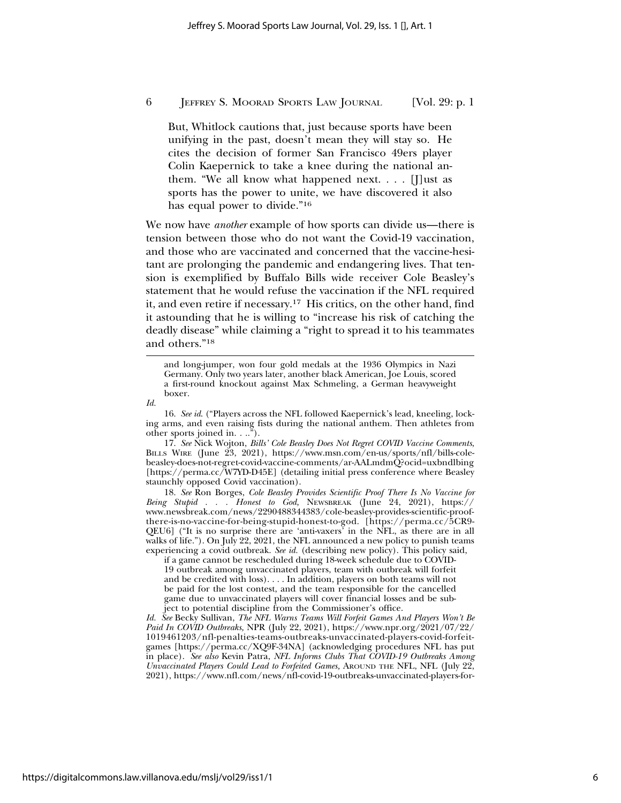But, Whitlock cautions that, just because sports have been unifying in the past, doesn't mean they will stay so. He cites the decision of former San Francisco 49ers player Colin Kaepernick to take a knee during the national anthem. "We all know what happened next.  $\ldots$  [J] ust as sports has the power to unite, we have discovered it also has equal power to divide."16

We now have *another* example of how sports can divide us—there is tension between those who do not want the Covid-19 vaccination, and those who are vaccinated and concerned that the vaccine-hesitant are prolonging the pandemic and endangering lives. That tension is exemplified by Buffalo Bills wide receiver Cole Beasley's statement that he would refuse the vaccination if the NFL required it, and even retire if necessary.17 His critics, on the other hand, find it astounding that he is willing to "increase his risk of catching the deadly disease" while claiming a "right to spread it to his teammates and others."18

and long-jumper, won four gold medals at the 1936 Olympics in Nazi Germany. Only two years later, another black American, Joe Louis, scored a first-round knockout against Max Schmeling, a German heavyweight boxer.

16. *See id*. ("Players across the NFL followed Kaepernick's lead, kneeling, locking arms, and even raising fists during the national anthem. Then athletes from other sports joined in. . ..").

17. *See* Nick Wojton, *Bills' Cole Beasley Does Not Regret COVID Vaccine Comments*, BILLS WIRE (June 23, 2021), https://www.msn.com/en-us/sports/nfl/bills-colebeasley-does-not-regret-covid-vaccine-comments/ar-AALmdmQ?ocid=uxbndlbing [https://perma.cc/W7YD-D45E] (detailing initial press conference where Beasley staunchly opposed Covid vaccination).

18. *See* Ron Borges, *Cole Beasley Provides Scientific Proof There Is No Vaccine for Being Stupid . . . Honest to God,* NEWSBREAK (June 24, 2021), https:// www.newsbreak.com/news/2290488344383/cole-beasley-provides-scientific-proofthere-is-no-vaccine-for-being-stupid-honest-to-god. [https://perma.cc/5CR9- QEU6] ("It is no surprise there are 'anti-vaxers' in the NFL, as there are in all walks of life."). On July 22, 2021, the NFL announced a new policy to punish teams experiencing a covid outbreak. *See id.* (describing new policy). This policy said,

if a game cannot be rescheduled during 18-week schedule due to COVID-19 outbreak among unvaccinated players, team with outbreak will forfeit and be credited with loss). . . . In addition, players on both teams will not be paid for the lost contest, and the team responsible for the cancelled game due to unvaccinated players will cover financial losses and be subject to potential discipline from the Commissioner's office.

*Id. See* Becky Sullivan, *The NFL Warns Teams Will Forfeit Games And Players Won't Be Paid In COVID Outbreaks,* NPR (July 22, 2021), https://www.npr.org/2021/07/22/ 1019461203/nfl-penalties-teams-outbreaks-unvaccinated-players-covid-forfeitgames [https://perma.cc/XQ9F-34NA] (acknowledging procedures NFL has put in place). *See also* Kevin Patra, *NFL Informs Clubs That COVID-19 Outbreaks Among Unvaccinated Players Could Lead to Forfeited Games,* AROUND THE NFL, NFL (July 22, 2021), https://www.nfl.com/news/nfl-covid-19-outbreaks-unvaccinated-players-for-

*Id.*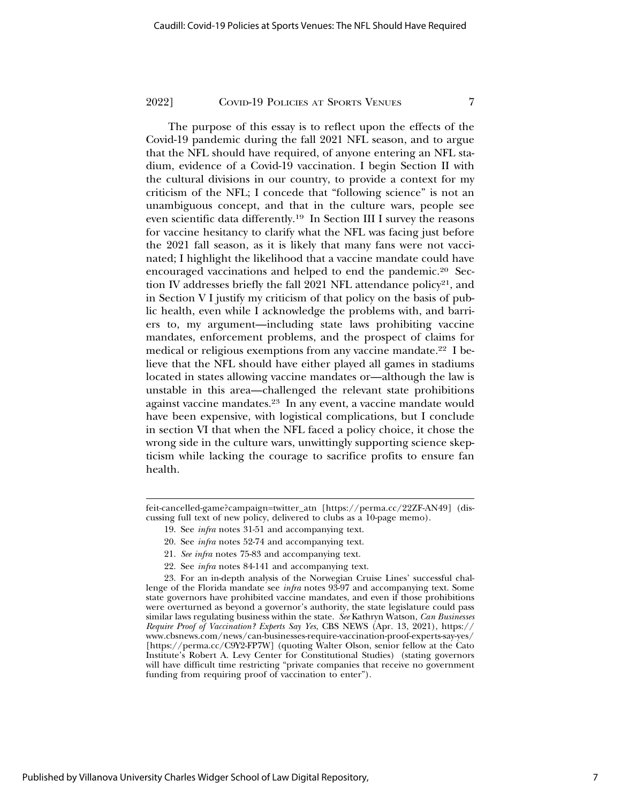The purpose of this essay is to reflect upon the effects of the Covid-19 pandemic during the fall 2021 NFL season, and to argue that the NFL should have required, of anyone entering an NFL stadium, evidence of a Covid-19 vaccination. I begin Section II with the cultural divisions in our country, to provide a context for my criticism of the NFL; I concede that "following science" is not an unambiguous concept, and that in the culture wars, people see even scientific data differently.19 In Section III I survey the reasons for vaccine hesitancy to clarify what the NFL was facing just before the 2021 fall season, as it is likely that many fans were not vaccinated; I highlight the likelihood that a vaccine mandate could have encouraged vaccinations and helped to end the pandemic.20 Section IV addresses briefly the fall 2021 NFL attendance policy<sup>21</sup>, and in Section V I justify my criticism of that policy on the basis of public health, even while I acknowledge the problems with, and barriers to, my argument—including state laws prohibiting vaccine mandates, enforcement problems, and the prospect of claims for medical or religious exemptions from any vaccine mandate.22 I believe that the NFL should have either played all games in stadiums located in states allowing vaccine mandates or—although the law is unstable in this area—challenged the relevant state prohibitions against vaccine mandates.23 In any event, a vaccine mandate would have been expensive, with logistical complications, but I conclude in section VI that when the NFL faced a policy choice, it chose the wrong side in the culture wars, unwittingly supporting science skepticism while lacking the courage to sacrifice profits to ensure fan health.

- 20. See *infra* notes 52-74 and accompanying text.
- 21. *See infra* notes 75-83 and accompanying text.
- 22. See *infra* notes 84-141 and accompanying text.

feit-cancelled-game?campaign=twitter\_atn [https://perma.cc/22ZF-AN49] (discussing full text of new policy, delivered to clubs as a 10-page memo).

<sup>19.</sup> See *infra* notes 31-51 and accompanying text.

<sup>23.</sup> For an in-depth analysis of the Norwegian Cruise Lines' successful challenge of the Florida mandate see *infra* notes 93-97 and accompanying text. Some state governors have prohibited vaccine mandates, and even if those prohibitions were overturned as beyond a governor's authority, the state legislature could pass similar laws regulating business within the state. *See* Kathryn Watson, *Can Businesses Require Proof of Vaccination? Experts Say Yes*, CBS NEWS (Apr. 13, 2021), https:// www.cbsnews.com/news/can-businesses-require-vaccination-proof-experts-say-yes/ [https://perma.cc/C9Y2-FP7W] (quoting Walter Olson, senior fellow at the Cato Institute's Robert A. Levy Center for Constitutional Studies) (stating governors will have difficult time restricting "private companies that receive no government funding from requiring proof of vaccination to enter").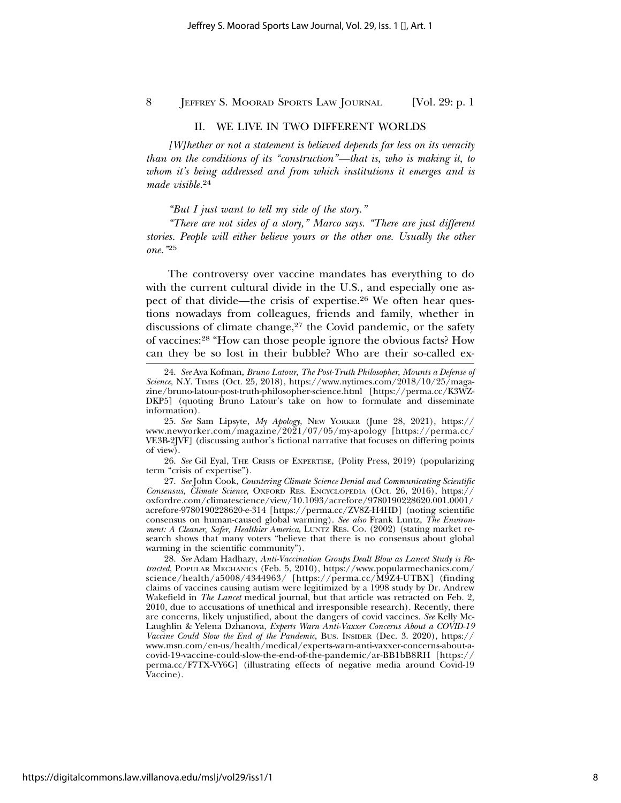#### II. WE LIVE IN TWO DIFFERENT WORLDS

*[W]hether or not a statement is believed depends far less on its veracity than on the conditions of its "construction"—that is, who is making it, to whom it's being addressed and from which institutions it emerges and is made visible.*<sup>24</sup>

*"But I just want to tell my side of the story."*

*"There are not sides of a story," Marco says. "There are just different stories. People will either believe yours or the other one. Usually the other one."*<sup>25</sup>

The controversy over vaccine mandates has everything to do with the current cultural divide in the U.S., and especially one aspect of that divide—the crisis of expertise.26 We often hear questions nowadays from colleagues, friends and family, whether in discussions of climate change,<sup>27</sup> the Covid pandemic, or the safety of vaccines:28 "How can those people ignore the obvious facts? How can they be so lost in their bubble? Who are their so-called ex-

26. *See* Gil Eyal, THE CRISIS OF EXPERTISE, (Polity Press, 2019) (popularizing term "crisis of expertise").

27. *See* John Cook, *Countering Climate Science Denial and Communicating Scientific Consensus*, *Climate Science*, OXFORD RES. ENCYCLOPEDIA (Oct. 26, 2016), https:// oxfordre.com/climatescience/view/10.1093/acrefore/9780190228620.001.0001/ acrefore-9780190228620-e-314 [https://perma.cc/ZV8Z-H4HD] (noting scientific consensus on human-caused global warming). *See also* Frank Luntz, *The Environment: A Cleaner, Safer, Healthier America*, LUNTZ RES. CO. (2002) (stating market research shows that many voters "believe that there is no consensus about global warming in the scientific community").

28. *See* Adam Hadhazy, *Anti-Vaccination Groups Dealt Blow as Lancet Study is Retracted*, POPULAR MECHANICS (Feb. 5, 2010), https://www.popularmechanics.com/ science/health/a5008/4344963/ [https://perma.cc/M9Z4-UTBX] (finding claims of vaccines causing autism were legitimized by a 1998 study by Dr. Andrew Wakefield in *The Lancet* medical journal, but that article was retracted on Feb. 2, 2010, due to accusations of unethical and irresponsible research). Recently, there are concerns, likely unjustified, about the dangers of covid vaccines. *See* Kelly Mc-Laughlin & Yelena Dzhanova, *Experts Warn Anti-Vaxxer Concerns About a COVID-19 Vaccine Could Slow the End of the Pandemic*, BUS. INSIDER (Dec. 3. 2020), https:// www.msn.com/en-us/health/medical/experts-warn-anti-vaxxer-concerns-about-acovid-19-vaccine-could-slow-the-end-of-the-pandemic/ar-BB1bB8RH [https:// perma.cc/F7TX-VY6G] (illustrating effects of negative media around Covid-19 Vaccine).

<sup>24.</sup> *See* Ava Kofman, *Bruno Latour, The Post-Truth Philosopher, Mounts a Defense of Science*, N.Y. TIMES (Oct. 25, 2018), https://www.nytimes.com/2018/10/25/magazine/bruno-latour-post-truth-philosopher-science.html [https://perma.cc/K3WZ-DKP5] (quoting Bruno Latour's take on how to formulate and disseminate information).

<sup>25.</sup> *See* Sam Lipsyte, *My Apology*, NEW YORKER (June 28, 2021), https:// www.newyorker.com/magazine/2021/07/05/my-apology [https://perma.cc/ VE3B-2JVF] (discussing author's fictional narrative that focuses on differing points of view).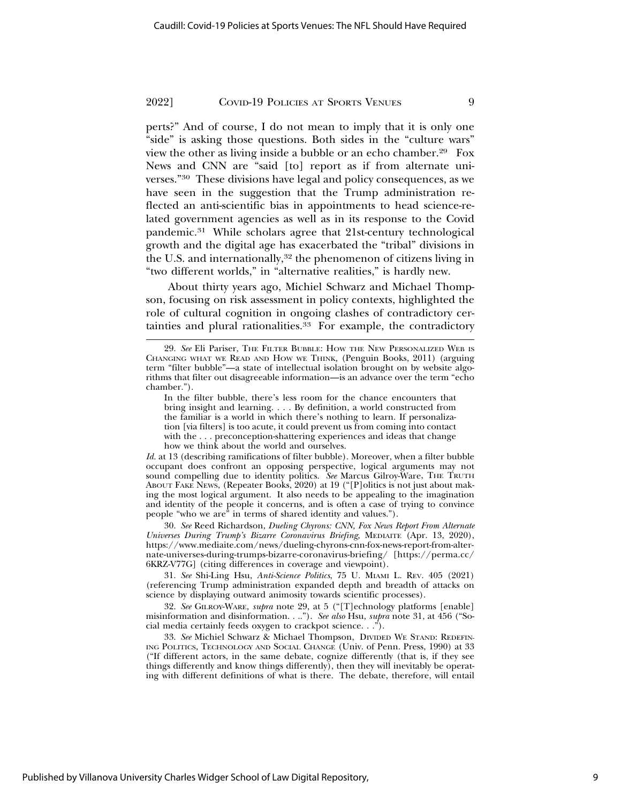perts?" And of course, I do not mean to imply that it is only one "side" is asking those questions. Both sides in the "culture wars" view the other as living inside a bubble or an echo chamber.29 Fox News and CNN are "said [to] report as if from alternate universes."30 These divisions have legal and policy consequences, as we have seen in the suggestion that the Trump administration reflected an anti-scientific bias in appointments to head science-related government agencies as well as in its response to the Covid pandemic.31 While scholars agree that 21st-century technological growth and the digital age has exacerbated the "tribal" divisions in the U.S. and internationally,<sup>32</sup> the phenomenon of citizens living in "two different worlds," in "alternative realities," is hardly new.

About thirty years ago, Michiel Schwarz and Michael Thompson, focusing on risk assessment in policy contexts, highlighted the role of cultural cognition in ongoing clashes of contradictory certainties and plural rationalities.<sup>33</sup> For example, the contradictory

*Id.* at 13 (describing ramifications of filter bubble). Moreover, when a filter bubble occupant does confront an opposing perspective, logical arguments may not sound compelling due to identity politics. *See* Marcus Gilroy-Ware, THE TRUTH ABOUT FAKE NEWS, (Repeater Books, 2020) at 19 ("[P]olitics is not just about making the most logical argument. It also needs to be appealing to the imagination and identity of the people it concerns, and is often a case of trying to convince people "who we are" in terms of shared identity and values.").

30. *See* Reed Richardson, *Dueling Chyrons: CNN, Fox News Report From Alternate Universes During Trump's Bizarre Coronavirus Briefing,* MEDIAITE (Apr. 13, 2020), https://www.mediaite.com/news/dueling-chyrons-cnn-fox-news-report-from-alternate-universes-during-trumps-bizarre-coronavirus-briefing/ [https://perma.cc/ 6KRZ-V77G] (citing differences in coverage and viewpoint).

31. *See* Shi-Ling Hsu, *Anti-Science Politics*, 75 U. MIAMI L. REV. 405 (2021) (referencing Trump administration expanded depth and breadth of attacks on science by displaying outward animosity towards scientific processes).

32. *See* GILROY-WARE, *supra* note 29, at 5 ("[T]echnology platforms [enable] misinformation and disinformation. . .."). *See also* Hsu, *supra* note 31, at 456 ("Social media certainly feeds oxygen to crackpot science. . .").

33. *See* Michiel Schwarz & Michael Thompson, DIVIDED WE STAND: REDEFIN-ING POLITICS, TECHNOLOGY AND SOCIAL CHANGE (Univ. of Penn. Press, 1990) at 33 ("If different actors, in the same debate, cognize differently (that is, if they see things differently and know things differently), then they will inevitably be operating with different definitions of what is there. The debate, therefore, will entail

<sup>29.</sup> *See* Eli Pariser, THE FILTER BUBBLE: HOW THE NEW PERSONALIZED WEB IS CHANGING WHAT WE READ AND HOW WE THINK*,* (Penguin Books, 2011) (arguing term "filter bubble"—a state of intellectual isolation brought on by website algorithms that filter out disagreeable information—is an advance over the term "echo chamber.").

In the filter bubble, there's less room for the chance encounters that bring insight and learning. . . . By definition, a world constructed from the familiar is a world in which there's nothing to learn. If personalization [via filters] is too acute, it could prevent us from coming into contact with the . . . preconception-shattering experiences and ideas that change how we think about the world and ourselves.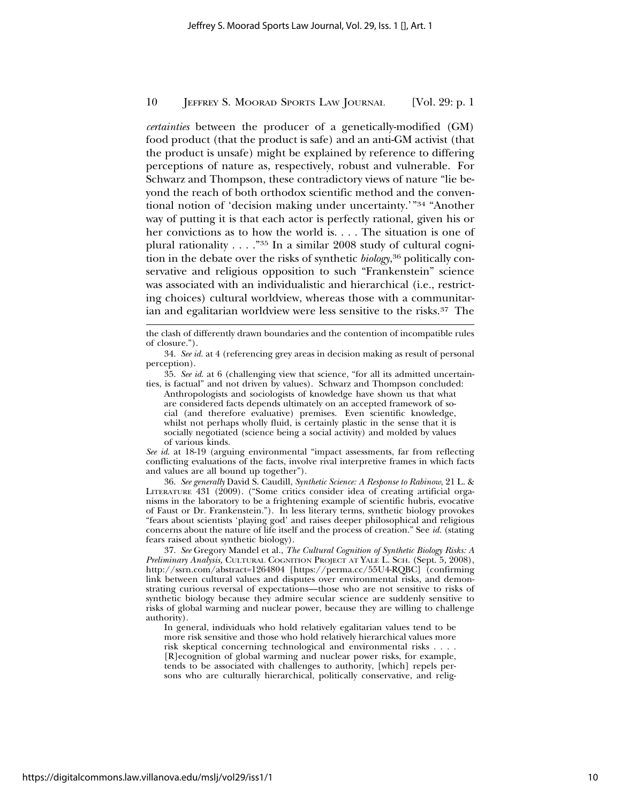*certainties* between the producer of a genetically-modified (GM) food product (that the product is safe) and an anti-GM activist (that the product is unsafe) might be explained by reference to differing perceptions of nature as, respectively, robust and vulnerable. For Schwarz and Thompson, these contradictory views of nature "lie beyond the reach of both orthodox scientific method and the conventional notion of 'decision making under uncertainty.'"34 "Another way of putting it is that each actor is perfectly rational, given his or her convictions as to how the world is. . . . The situation is one of plural rationality . . . ."35 In a similar 2008 study of cultural cognition in the debate over the risks of synthetic *biology*, 36 politically conservative and religious opposition to such "Frankenstein" science was associated with an individualistic and hierarchical (i.e., restricting choices) cultural worldview, whereas those with a communitarian and egalitarian worldview were less sensitive to the risks.37 The

34. *See id.* at 4 (referencing grey areas in decision making as result of personal perception).

35. *See id*. at 6 (challenging view that science, "for all its admitted uncertainties, is factual" and not driven by values). Schwarz and Thompson concluded:

Anthropologists and sociologists of knowledge have shown us that what are considered facts depends ultimately on an accepted framework of social (and therefore evaluative) premises. Even scientific knowledge, whilst not perhaps wholly fluid, is certainly plastic in the sense that it is socially negotiated (science being a social activity) and molded by values of various kinds.

*See id*. at 18-19 (arguing environmental "impact assessments, far from reflecting conflicting evaluations of the facts, involve rival interpretive frames in which facts and values are all bound up together").

36. *See generally* David S. Caudill, *Synthetic Science: A Response to Rabinow*, 21 L. & LITERATURE 431 (2009). ("Some critics consider idea of creating artificial organisms in the laboratory to be a frightening example of scientific hubris, evocative of Faust or Dr. Frankenstein."). In less literary terms, synthetic biology provokes "fears about scientists 'playing god' and raises deeper philosophical and religious concerns about the nature of life itself and the process of creation." See *id.* (stating fears raised about synthetic biology).

37. *See* Gregory Mandel et al., *The Cultural Cognition of Synthetic Biology Risks: A Preliminary Analysis,* CULTURAL COGNITION PROJECT AT YALE L. SCH. (Sept. 5, 2008), http://ssrn.com/abstract=1264804 [https://perma.cc/55U4-RQBC] (confirming link between cultural values and disputes over environmental risks, and demonstrating curious reversal of expectations—those who are not sensitive to risks of synthetic biology because they admire secular science are suddenly sensitive to risks of global warming and nuclear power, because they are willing to challenge authority).

In general, individuals who hold relatively egalitarian values tend to be more risk sensitive and those who hold relatively hierarchical values more risk skeptical concerning technological and environmental risks . . . . [R]ecognition of global warming and nuclear power risks, for example, tends to be associated with challenges to authority, [which] repels persons who are culturally hierarchical, politically conservative, and relig-

the clash of differently drawn boundaries and the contention of incompatible rules of closure.").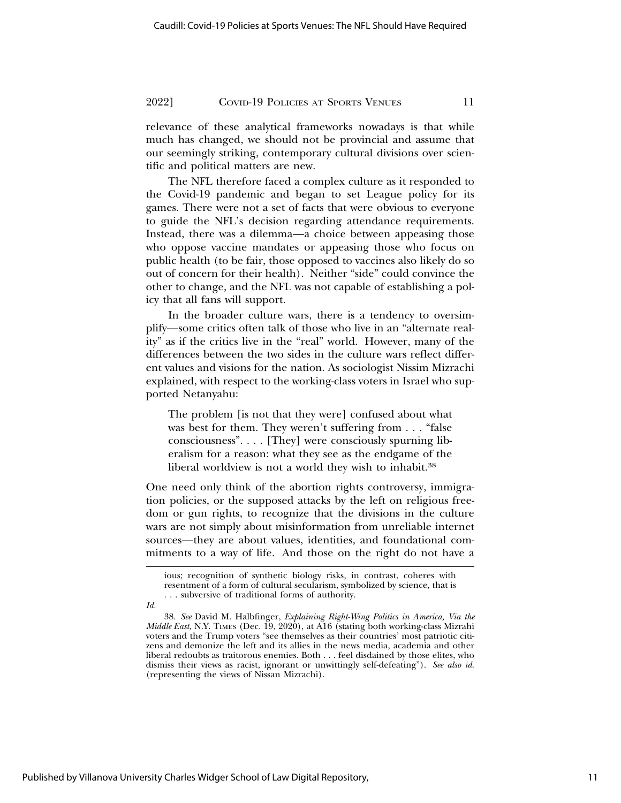relevance of these analytical frameworks nowadays is that while much has changed, we should not be provincial and assume that our seemingly striking, contemporary cultural divisions over scientific and political matters are new.

The NFL therefore faced a complex culture as it responded to the Covid-19 pandemic and began to set League policy for its games. There were not a set of facts that were obvious to everyone to guide the NFL's decision regarding attendance requirements. Instead, there was a dilemma—a choice between appeasing those who oppose vaccine mandates or appeasing those who focus on public health (to be fair, those opposed to vaccines also likely do so out of concern for their health). Neither "side" could convince the other to change, and the NFL was not capable of establishing a policy that all fans will support.

In the broader culture wars, there is a tendency to oversimplify—some critics often talk of those who live in an "alternate reality" as if the critics live in the "real" world. However, many of the differences between the two sides in the culture wars reflect different values and visions for the nation. As sociologist Nissim Mizrachi explained, with respect to the working-class voters in Israel who supported Netanyahu:

The problem [is not that they were] confused about what was best for them. They weren't suffering from . . . "false consciousness". . . . [They] were consciously spurning liberalism for a reason: what they see as the endgame of the liberal worldview is not a world they wish to inhabit.38

One need only think of the abortion rights controversy, immigration policies, or the supposed attacks by the left on religious freedom or gun rights, to recognize that the divisions in the culture wars are not simply about misinformation from unreliable internet sources—they are about values, identities, and foundational commitments to a way of life. And those on the right do not have a

ious; recognition of synthetic biology risks, in contrast, coheres with resentment of a form of cultural secularism, symbolized by science, that is . . . subversive of traditional forms of authority.

*Id.*

<sup>38.</sup> *See* David M. Halbfinger, *Explaining Right-Wing Politics in America, Via the Middle East*, N.Y. TIMES (Dec. 19, 2020), at A16 (stating both working-class Mizrahi voters and the Trump voters "see themselves as their countries' most patriotic citizens and demonize the left and its allies in the news media, academia and other liberal redoubts as traitorous enemies. Both . . . feel disdained by those elites, who dismiss their views as racist, ignorant or unwittingly self-defeating"). *See also id*. (representing the views of Nissan Mizrachi).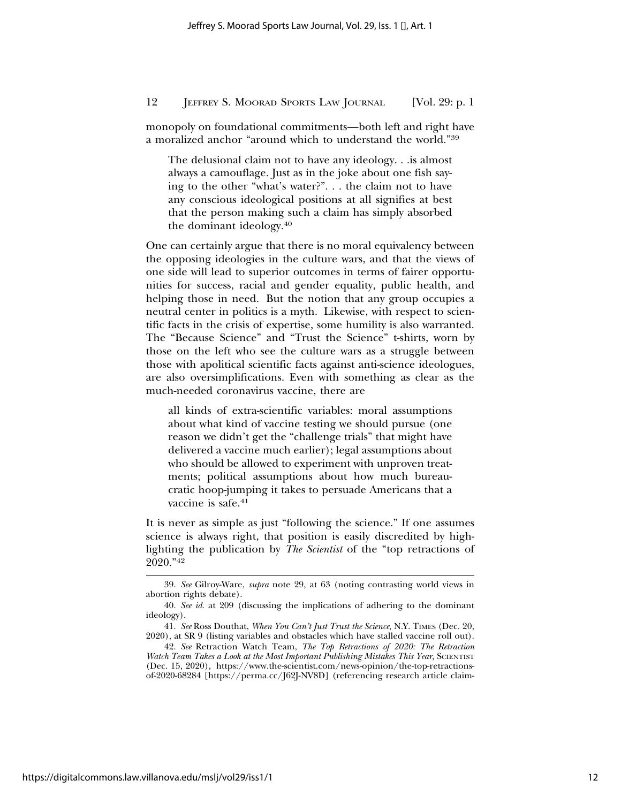monopoly on foundational commitments—both left and right have a moralized anchor "around which to understand the world."39

The delusional claim not to have any ideology. . .is almost always a camouflage. Just as in the joke about one fish saying to the other "what's water?". . . the claim not to have any conscious ideological positions at all signifies at best that the person making such a claim has simply absorbed the dominant ideology.40

One can certainly argue that there is no moral equivalency between the opposing ideologies in the culture wars, and that the views of one side will lead to superior outcomes in terms of fairer opportunities for success, racial and gender equality, public health, and helping those in need. But the notion that any group occupies a neutral center in politics is a myth. Likewise, with respect to scientific facts in the crisis of expertise, some humility is also warranted. The "Because Science" and "Trust the Science" t-shirts, worn by those on the left who see the culture wars as a struggle between those with apolitical scientific facts against anti-science ideologues, are also oversimplifications. Even with something as clear as the much-needed coronavirus vaccine, there are

all kinds of extra-scientific variables: moral assumptions about what kind of vaccine testing we should pursue (one reason we didn't get the "challenge trials" that might have delivered a vaccine much earlier); legal assumptions about who should be allowed to experiment with unproven treatments; political assumptions about how much bureaucratic hoop-jumping it takes to persuade Americans that a vaccine is safe.<sup>41</sup>

It is never as simple as just "following the science." If one assumes science is always right, that position is easily discredited by highlighting the publication by *The Scientist* of the "top retractions of 2020."42

<sup>39.</sup> *See* Gilroy-Ware, *supra* note 29, at 63 (noting contrasting world views in abortion rights debate).

<sup>40.</sup> *See id*. at 209 (discussing the implications of adhering to the dominant ideology).

<sup>41.</sup> *See* Ross Douthat, *When You Can't Just Trust the Science*, N.Y. TIMES (Dec. 20, 2020), at SR 9 (listing variables and obstacles which have stalled vaccine roll out).

<sup>42.</sup> *See* Retraction Watch Team, *The Top Retractions of 2020: The Retraction* Watch Team Takes a Look at the Most Important Publishing Mistakes This Year, SCIENTIST (Dec. 15, 2020), https://www.the-scientist.com/news-opinion/the-top-retractionsof-2020-68284 [https://perma.cc/J62J-NV8D] (referencing research article claim-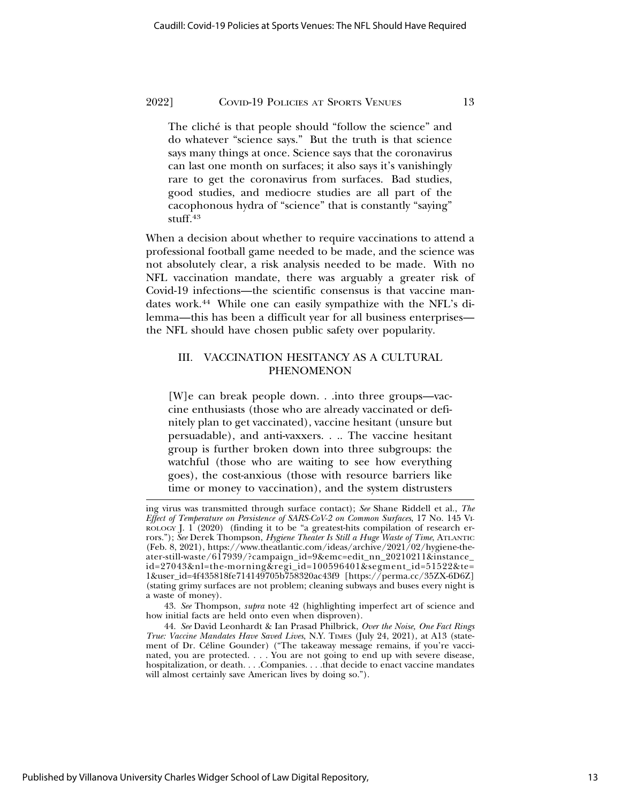The cliche is that people should "follow the science" and do whatever "science says." But the truth is that science says many things at once. Science says that the coronavirus can last one month on surfaces; it also says it's vanishingly rare to get the coronavirus from surfaces. Bad studies, good studies, and mediocre studies are all part of the cacophonous hydra of "science" that is constantly "saying" stuff.43

When a decision about whether to require vaccinations to attend a professional football game needed to be made, and the science was not absolutely clear, a risk analysis needed to be made. With no NFL vaccination mandate, there was arguably a greater risk of Covid-19 infections—the scientific consensus is that vaccine mandates work.44 While one can easily sympathize with the NFL's dilemma—this has been a difficult year for all business enterprises the NFL should have chosen public safety over popularity.

#### III. VACCINATION HESITANCY AS A CULTURAL PHENOMENON

[W]e can break people down. . .into three groups—vaccine enthusiasts (those who are already vaccinated or definitely plan to get vaccinated), vaccine hesitant (unsure but persuadable), and anti-vaxxers. . .. The vaccine hesitant group is further broken down into three subgroups: the watchful (those who are waiting to see how everything goes), the cost-anxious (those with resource barriers like time or money to vaccination), and the system distrusters

ing virus was transmitted through surface contact); *See* Shane Riddell et al., *The Effect of Temperature on Persistence of SARS-CoV-2 on Common Surfaces*, 17 No. 145 VI-ROLOGY J.  $1(2020)$  (finding it to be "a greatest-hits compilation of research errors."); *See* Derek Thompson, *Hygiene Theater Is Still a Huge Waste of Time*, ATLANTIC (Feb. 8, 2021), https://www.theatlantic.com/ideas/archive/2021/02/hygiene-theater-still-waste/617939/?campaign\_id=9&emc=edit\_nn\_20210211&instance\_ id=27043&nl=the-morning&regi\_id=100596401&segment\_id=51522&te= 1&user\_id=4f435818fe714149705b758320ac43f9 [https://perma.cc/35ZX-6D6Z] (stating grimy surfaces are not problem; cleaning subways and buses every night is a waste of money).

<sup>43.</sup> *See* Thompson, *supra* note 42 (highlighting imperfect art of science and how initial facts are held onto even when disproven).

<sup>44.</sup> *See* David Leonhardt & Ian Prasad Philbrick, *Over the Noise, One Fact Rings True: Vaccine Mandates Have Saved Lives*, N.Y. TIMES (July 24, 2021), at A13 (statement of Dr. Céline Gounder) ("The takeaway message remains, if you're vaccinated, you are protected. . . . You are not going to end up with severe disease, hospitalization, or death. . . .Companies. . . .that decide to enact vaccine mandates will almost certainly save American lives by doing so.").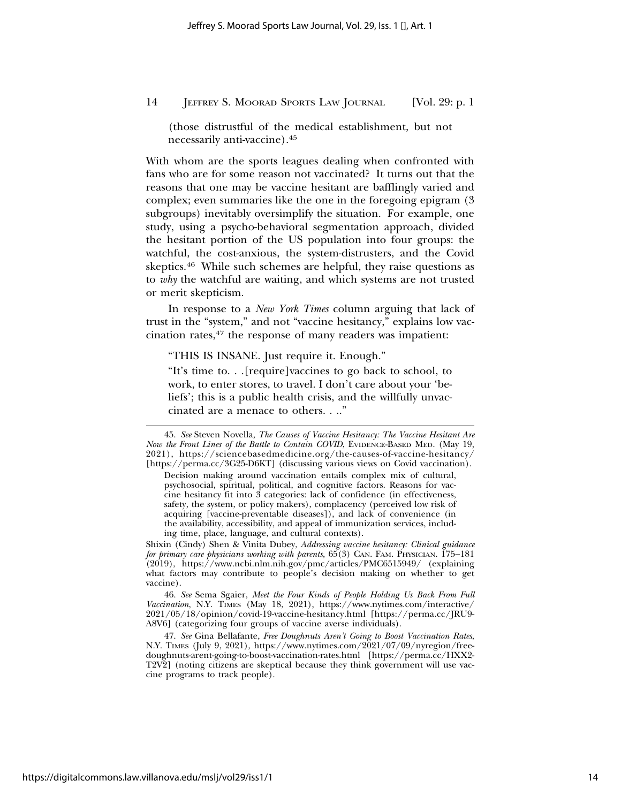(those distrustful of the medical establishment, but not necessarily anti-vaccine).45

With whom are the sports leagues dealing when confronted with fans who are for some reason not vaccinated? It turns out that the reasons that one may be vaccine hesitant are bafflingly varied and complex; even summaries like the one in the foregoing epigram (3 subgroups) inevitably oversimplify the situation. For example, one study, using a psycho-behavioral segmentation approach, divided the hesitant portion of the US population into four groups: the watchful, the cost-anxious, the system-distrusters, and the Covid skeptics.46 While such schemes are helpful, they raise questions as to *why* the watchful are waiting, and which systems are not trusted or merit skepticism.

In response to a *New York Times* column arguing that lack of trust in the "system," and not "vaccine hesitancy," explains low vaccination rates,47 the response of many readers was impatient:

"THIS IS INSANE. Just require it. Enough."

"It's time to. . .[require]vaccines to go back to school, to work, to enter stores, to travel. I don't care about your 'beliefs'; this is a public health crisis, and the willfully unvaccinated are a menace to others. . .."

Shixin (Cindy) Shen & Vinita Dubey, *Addressing vaccine hesitancy: Clinical guidance for primary care physicians working with parents*,  $65(3)$  CAN. FAM. PHYSICIAN. 175–181 (2019), https://www.ncbi.nlm.nih.gov/pmc/articles/PMC6515949/ (explaining what factors may contribute to people's decision making on whether to get vaccine).

46. *See* Sema Sgaier, *Meet the Four Kinds of People Holding Us Back From Full Vaccination*, N.Y. TIMES (May 18, 2021), https://www.nytimes.com/interactive/ 2021/05/18/opinion/covid-19-vaccine-hesitancy.html [https://perma.cc/JRU9- A8V6] (categorizing four groups of vaccine averse individuals).

47. *See* Gina Bellafante, *Free Doughnuts Aren't Going to Boost Vaccination Rates*, N.Y. TIMES (July 9, 2021), https://www.nytimes.com/2021/07/09/nyregion/freedoughnuts-arent-going-to-boost-vaccination-rates.html [https://perma.cc/HXX2- T2V2] (noting citizens are skeptical because they think government will use vaccine programs to track people).

<sup>45.</sup> *See* Steven Novella, *The Causes of Vaccine Hesitancy: The Vaccine Hesitant Are Now the Front Lines of the Battle to Contain COVID*, EVIDENCE-BASED MED. (May 19, 2021), https://sciencebasedmedicine.org/the-causes-of-vaccine-hesitancy/ [https://perma.cc/3G25-D6KT] (discussing various views on Covid vaccination).

Decision making around vaccination entails complex mix of cultural, psychosocial, spiritual, political, and cognitive factors. Reasons for vaccine hesitancy fit into 3 categories: lack of confidence (in effectiveness, safety, the system, or policy makers), complacency (perceived low risk of acquiring [vaccine-preventable diseases]), and lack of convenience (in the availability, accessibility, and appeal of immunization services, including time, place, language, and cultural contexts).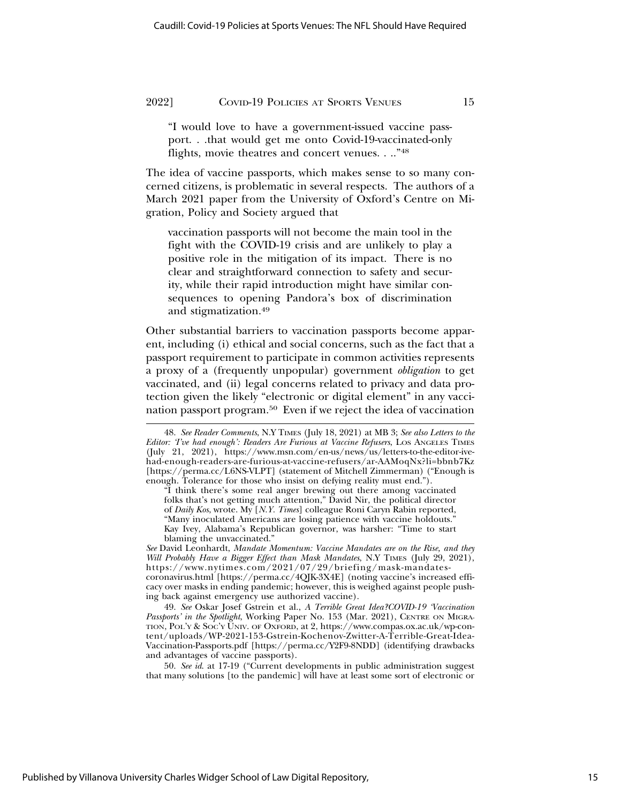"I would love to have a government-issued vaccine passport. . .that would get me onto Covid-19-vaccinated-only flights, movie theatres and concert venues. . .."48

The idea of vaccine passports, which makes sense to so many concerned citizens, is problematic in several respects. The authors of a March 2021 paper from the University of Oxford's Centre on Migration, Policy and Society argued that

vaccination passports will not become the main tool in the fight with the COVID-19 crisis and are unlikely to play a positive role in the mitigation of its impact. There is no clear and straightforward connection to safety and security, while their rapid introduction might have similar consequences to opening Pandora's box of discrimination and stigmatization.49

Other substantial barriers to vaccination passports become apparent, including (i) ethical and social concerns, such as the fact that a passport requirement to participate in common activities represents a proxy of a (frequently unpopular) government *obligation* to get vaccinated, and (ii) legal concerns related to privacy and data protection given the likely "electronic or digital element" in any vaccination passport program.50 Even if we reject the idea of vaccination

49. *See* Oskar Josef Gstrein et al., *A Terrible Great Idea?COVID-19 'Vaccination Passports' in the Spotlight*, Working Paper No. 153 (Mar. 2021), CENTRE ON MIGRA-TION, POL'Y & SOC'Y UNIV. OF OXFORD, at 2, https://www.compas.ox.ac.uk/wp-content/uploads/WP-2021-153-Gstrein-Kochenov-Zwitter-A-Terrible-Great-Idea-Vaccination-Passports.pdf [https://perma.cc/Y2F9-8NDD] (identifying drawbacks and advantages of vaccine passports).

50. *See id*. at 17-19 ("Current developments in public administration suggest that many solutions [to the pandemic] will have at least some sort of electronic or

<sup>48.</sup> *See Reader Comments*, N.Y TIMES (July 18, 2021) at MB 3; *See also Letters to the Editor: 'I've had enough': Readers Are Furious at Vaccine Refusers*, LOS ANGELES TIMES (July 21, 2021), https://www.msn.com/en-us/news/us/letters-to-the-editor-ivehad-enough-readers-are-furious-at-vaccine-refusers/ar-AAMoqNx?li=bbnb7Kz [https://perma.cc/L6NS-VLPT] (statement of Mitchell Zimmerman) ("Enough is enough. Tolerance for those who insist on defying reality must end.").

<sup>&</sup>quot;I think there's some real anger brewing out there among vaccinated folks that's not getting much attention," David Nir, the political director of *Daily Kos*, wrote. My [*N.Y. Times*] colleague Roni Caryn Rabin reported, "Many inoculated Americans are losing patience with vaccine holdouts." Kay Ivey, Alabama's Republican governor, was harsher: "Time to start blaming the unvaccinated."

*See* David Leonhardt, *Mandate Momentum: Vaccine Mandates are on the Rise, and they Will Probably Have a Bigger Effect than Mask Mandates*, N.Y TIMES (July 29, 2021), https://www.nytimes.com/2021/07/29/briefing/mask-mandatescoronavirus.html [https://perma.cc/4QJK-3X4E] (noting vaccine's increased efficacy over masks in ending pandemic; however, this is weighed against people pushing back against emergency use authorized vaccine).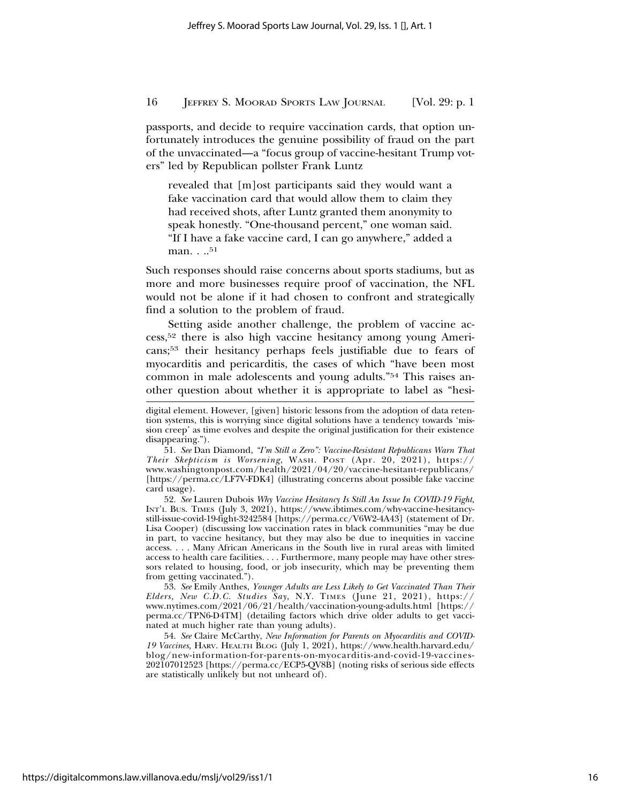passports, and decide to require vaccination cards, that option unfortunately introduces the genuine possibility of fraud on the part of the unvaccinated—a "focus group of vaccine-hesitant Trump voters" led by Republican pollster Frank Luntz

revealed that [m]ost participants said they would want a fake vaccination card that would allow them to claim they had received shots, after Luntz granted them anonymity to speak honestly. "One-thousand percent," one woman said. "If I have a fake vaccine card, I can go anywhere," added a man. . ..<sup>51</sup>

Such responses should raise concerns about sports stadiums, but as more and more businesses require proof of vaccination, the NFL would not be alone if it had chosen to confront and strategically find a solution to the problem of fraud.

Setting aside another challenge, the problem of vaccine access,52 there is also high vaccine hesitancy among young Americans;53 their hesitancy perhaps feels justifiable due to fears of myocarditis and pericarditis, the cases of which "have been most common in male adolescents and young adults."54 This raises another question about whether it is appropriate to label as "hesi-

52. *See* Lauren Dubois *Why Vaccine Hesitancy Is Still An Issue In COVID-19 Fight*, INT'L BUS. TIMES (July 3, 2021), https://www.ibtimes.com/why-vaccine-hesitancystill-issue-covid-19-fight-3242584 [https://perma.cc/V6W2-4A43] (statement of Dr. Lisa Cooper) (discussing low vaccination rates in black communities "may be due in part, to vaccine hesitancy, but they may also be due to inequities in vaccine access. . . . Many African Americans in the South live in rural areas with limited access to health care facilities. . . . Furthermore, many people may have other stressors related to housing, food, or job insecurity, which may be preventing them from getting vaccinated.").

53. *See* Emily Anthes, *Younger Adults are Less Likely to Get Vaccinated Than Their Elders, New C.D.C. Studies Say*, N.Y. TIMES (June 21, 2021), https:// www.nytimes.com/2021/06/21/health/vaccination-young-adults.html [https:// perma.cc/TPN6-D4TM] (detailing factors which drive older adults to get vaccinated at much higher rate than young adults).

54. *See* Claire McCarthy, *New Information for Parents on Myocarditis and COVID-19 Vaccines,* HARV. HEALTH BLOG (July 1, 2021), https://www.health.harvard.edu/ blog/new-information-for-parents-on-myocarditis-and-covid-19-vaccines-202107012523 [https://perma.cc/ECP5-QV8B] (noting risks of serious side effects are statistically unlikely but not unheard of).

digital element. However, [given] historic lessons from the adoption of data retention systems, this is worrying since digital solutions have a tendency towards 'mission creep' as time evolves and despite the original justification for their existence disappearing.").

<sup>51.</sup> *See* Dan Diamond, *"I'm Still a Zero": Vaccine-Resistant Republicans Warn That Their Skepticism is Worsening*, WASH. POST (Apr. 20, 2021), https:// www.washingtonpost.com/health/2021/04/20/vaccine-hesitant-republicans/ [https://perma.cc/LF7V-FDK4] (illustrating concerns about possible fake vaccine card usage).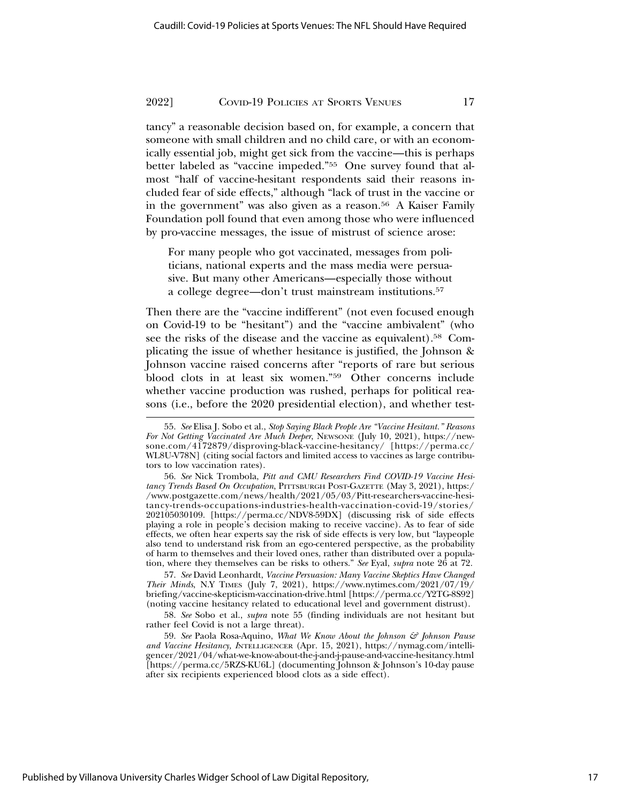tancy" a reasonable decision based on, for example, a concern that someone with small children and no child care, or with an economically essential job, might get sick from the vaccine—this is perhaps better labeled as "vaccine impeded."55 One survey found that almost "half of vaccine-hesitant respondents said their reasons included fear of side effects," although "lack of trust in the vaccine or in the government" was also given as a reason.<sup>56</sup> A Kaiser Family Foundation poll found that even among those who were influenced by pro-vaccine messages, the issue of mistrust of science arose:

For many people who got vaccinated, messages from politicians, national experts and the mass media were persuasive. But many other Americans—especially those without a college degree—don't trust mainstream institutions.57

Then there are the "vaccine indifferent" (not even focused enough on Covid-19 to be "hesitant") and the "vaccine ambivalent" (who see the risks of the disease and the vaccine as equivalent).58 Complicating the issue of whether hesitance is justified, the Johnson & Johnson vaccine raised concerns after "reports of rare but serious blood clots in at least six women."59 Other concerns include whether vaccine production was rushed, perhaps for political reasons (i.e., before the 2020 presidential election), and whether test-

57. *See* David Leonhardt, *Vaccine Persuasion: Many Vaccine Skeptics Have Changed Their Minds*, N.Y TIMES (July 7, 2021), https://www.nytimes.com/2021/07/19/ briefing/vaccine-skepticism-vaccination-drive.html [https://perma.cc/Y2TG-8S92] (noting vaccine hesitancy related to educational level and government distrust).

58. *See* Sobo et al., *supra* note 55 (finding individuals are not hesitant but rather feel Covid is not a large threat).

59. *See* Paola Rosa-Aquino, *What We Know About the Johnson & Johnson Pause* and Vaccine Hesitancy, INTELLIGENCER (Apr. 15, 2021), https://nymag.com/intelligencer/2021/04/what-we-know-about-the-j-and-j-pause-and-vaccine-hesitancy.html [https://perma.cc/5RZS-KU6L] (documenting Johnson & Johnson's 10-day pause after six recipients experienced blood clots as a side effect).

Published by Villanova University Charles Widger School of Law Digital Repository,

<sup>55.</sup> *See* Elisa J. Sobo et al., *Stop Saying Black People Are "Vaccine Hesitant." Reasons For Not Getting Vaccinated Are Much Deeper*, NEWSONE (July 10, 2021), https://newsone.com/4172879/disproving-black-vaccine-hesitancy/ [https://perma.cc/ WL8U-V78N] (citing social factors and limited access to vaccines as large contributors to low vaccination rates).

<sup>56.</sup> *See* Nick Trombola, *Pitt and CMU Researchers Find COVID-19 Vaccine Hesitancy Trends Based On Occupation*, PITTSBURGH POST-GAZETTE (May 3, 2021), https:/ /www.postgazette.com/news/health/2021/05/03/Pitt-researchers-vaccine-hesitancy-trends-occupations-industries-health-vaccination-covid-19/stories/ 202105030109. [https://perma.cc/NDV8-59DX] (discussing risk of side effects playing a role in people's decision making to receive vaccine). As to fear of side effects, we often hear experts say the risk of side effects is very low, but "laypeople also tend to understand risk from an ego-centered perspective, as the probability of harm to themselves and their loved ones, rather than distributed over a population, where they themselves can be risks to others." *See* Eyal, *supra* note 26 at 72.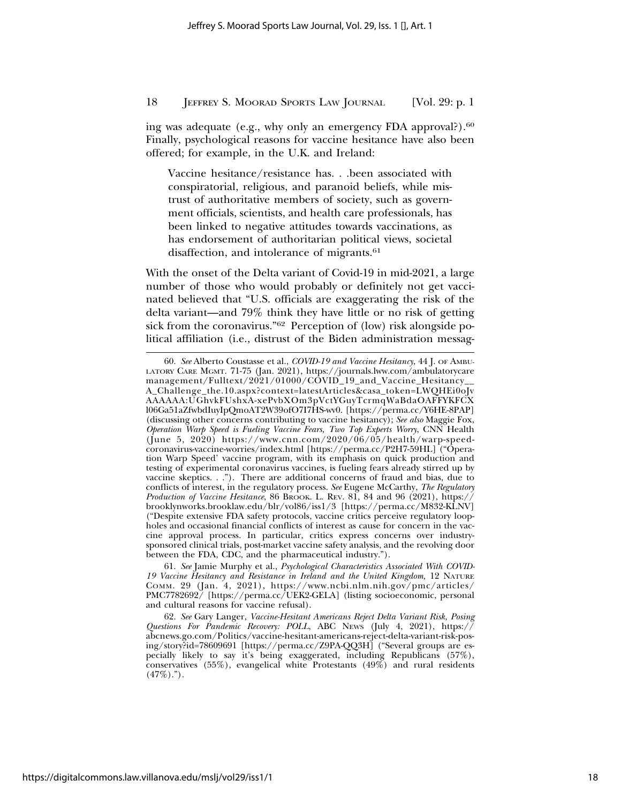ing was adequate (e.g., why only an emergency FDA approval?).<sup>60</sup> Finally, psychological reasons for vaccine hesitance have also been offered; for example, in the U.K. and Ireland:

Vaccine hesitance/resistance has. . .been associated with conspiratorial, religious, and paranoid beliefs, while mistrust of authoritative members of society, such as government officials, scientists, and health care professionals, has been linked to negative attitudes towards vaccinations, as has endorsement of authoritarian political views, societal disaffection, and intolerance of migrants.<sup>61</sup>

With the onset of the Delta variant of Covid-19 in mid-2021, a large number of those who would probably or definitely not get vaccinated believed that "U.S. officials are exaggerating the risk of the delta variant—and 79% think they have little or no risk of getting sick from the coronavirus."<sup>62</sup> Perception of (low) risk alongside political affiliation (i.e., distrust of the Biden administration messag-

<sup>60.</sup> *See* Alberto Coustasse et al., *COVID-19 and Vaccine Hesitancy*, 44 J. OF AMBU-LATORY CARE MGMT. 71-75 (Jan. 2021), https://journals.lww.com/ambulatorycare management/Fulltext/2021/01000/COVID\_19\_and\_Vaccine\_Hesitancy\_\_ A\_Challenge\_the.10.aspx?context=latestArticles&casa\_token=LWQHEi0oJv AAAAAA:UGhvkFUshxA-xePvbXOm3pVctYGuyTcrmqWaBdaOAFFYKFCX l06Ga51aZfwbdIuyIpQmoAT2W39ofO7I7HS-wv0. [https://perma.cc/Y6HE-8PAP] (discussing other concerns contributing to vaccine hesitancy); *See also* Maggie Fox, *Operation Warp Speed is Fueling Vaccine Fears, Two Top Experts Worry*, CNN Health (June 5, 2020) https://www.cnn.com/2020/06/05/health/warp-speedcoronavirus-vaccine-worries/index.html [https://perma.cc/P2H7-59HL] ("Operation Warp Speed' vaccine program, with its emphasis on quick production and testing of experimental coronavirus vaccines, is fueling fears already stirred up by vaccine skeptics. . ."). There are additional concerns of fraud and bias, due to conflicts of interest, in the regulatory process. *See* Eugene McCarthy, *The Regulatory Production of Vaccine Hesitance*, 86 BROOK. L. REV. 81, 84 and 96 (2021), https:// brooklynworks.brooklaw.edu/blr/vol86/iss1/3 [https://perma.cc/M832-KLNV] ("Despite extensive FDA safety protocols, vaccine critics perceive regulatory loopholes and occasional financial conflicts of interest as cause for concern in the vaccine approval process. In particular, critics express concerns over industrysponsored clinical trials, post-market vaccine safety analysis, and the revolving door between the FDA, CDC, and the pharmaceutical industry.").

<sup>61.</sup> *See* Jamie Murphy et al., *Psychological Characteristics Associated With COVID-19 Vaccine Hesitancy and Resistance in Ireland and the United Kingdom,* 12 NATURE COMM. 29 (Jan. 4, 2021), https://www.ncbi.nlm.nih.gov/pmc/articles/ PMC7782692/ [https://perma.cc/UEK2-GELA] (listing socioeconomic, personal and cultural reasons for vaccine refusal).

<sup>62.</sup> *See* Gary Langer, *Vaccine-Hesitant Americans Reject Delta Variant Risk, Posing Questions For Pandemic Recovery: POLL*, ABC NEWS (July 4, 2021), https:// abcnews.go.com/Politics/vaccine-hesitant-americans-reject-delta-variant-risk-posing/story?id=78609691 [https://perma.cc/Z9PA-QQ3H] ("Several groups are especially likely to say it's being exaggerated, including Republicans (57%), conservatives  $(55\%)$ , evangelical white Protestants  $(49\%)$  and rural residents  $(47\%)$ .").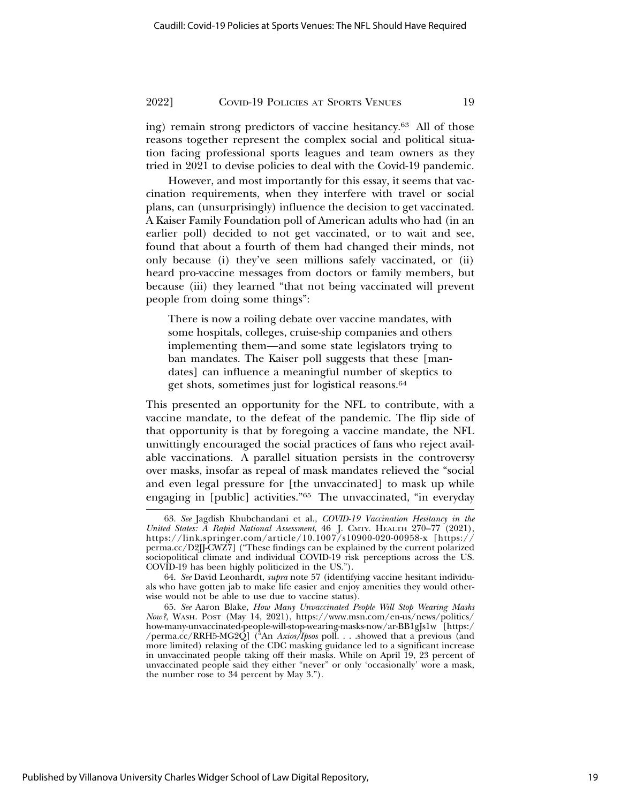ing) remain strong predictors of vaccine hesitancy.63 All of those reasons together represent the complex social and political situation facing professional sports leagues and team owners as they tried in 2021 to devise policies to deal with the Covid-19 pandemic.

However, and most importantly for this essay, it seems that vaccination requirements, when they interfere with travel or social plans, can (unsurprisingly) influence the decision to get vaccinated. A Kaiser Family Foundation poll of American adults who had (in an earlier poll) decided to not get vaccinated, or to wait and see, found that about a fourth of them had changed their minds, not only because (i) they've seen millions safely vaccinated, or (ii) heard pro-vaccine messages from doctors or family members, but because (iii) they learned "that not being vaccinated will prevent people from doing some things":

There is now a roiling debate over vaccine mandates, with some hospitals, colleges, cruise-ship companies and others implementing them—and some state legislators trying to ban mandates. The Kaiser poll suggests that these [mandates] can influence a meaningful number of skeptics to get shots, sometimes just for logistical reasons.64

This presented an opportunity for the NFL to contribute, with a vaccine mandate, to the defeat of the pandemic. The flip side of that opportunity is that by foregoing a vaccine mandate, the NFL unwittingly encouraged the social practices of fans who reject available vaccinations. A parallel situation persists in the controversy over masks, insofar as repeal of mask mandates relieved the "social and even legal pressure for [the unvaccinated] to mask up while engaging in [public] activities."65 The unvaccinated, "in everyday

<sup>63.</sup> *See* Jagdish Khubchandani et al., *COVID-19 Vaccination Hesitancy in the United States: A Rapid National Assessment*, 46 J. CMTY. HEALTH 270–77 (2021), https://link.springer.com/article/10.1007/s10900-020-00958-x [https:// perma.cc/D2JJ-CWZ7] ("These findings can be explained by the current polarized sociopolitical climate and individual COVID-19 risk perceptions across the US. COVID-19 has been highly politicized in the US.").

<sup>64.</sup> *See* David Leonhardt, *supra* note 57 (identifying vaccine hesitant individuals who have gotten jab to make life easier and enjoy amenities they would otherwise would not be able to use due to vaccine status).

<sup>65.</sup> *See* Aaron Blake, *How Many Unvaccinated People Will Stop Wearing Masks Now?*, WASH. POST (May 14, 2021), https://www.msn.com/en-us/news/politics/ how-many-unvaccinated-people-will-stop-wearing-masks-now/ar-BB1gJs1w [https:/ /perma.cc/RRH5-MG2Q] ("An *Axios/Ipsos* poll. . . .showed that a previous (and more limited) relaxing of the CDC masking guidance led to a significant increase in unvaccinated people taking off their masks. While on April 19, 23 percent of unvaccinated people said they either "never" or only 'occasionally' wore a mask, the number rose to 34 percent by May 3.").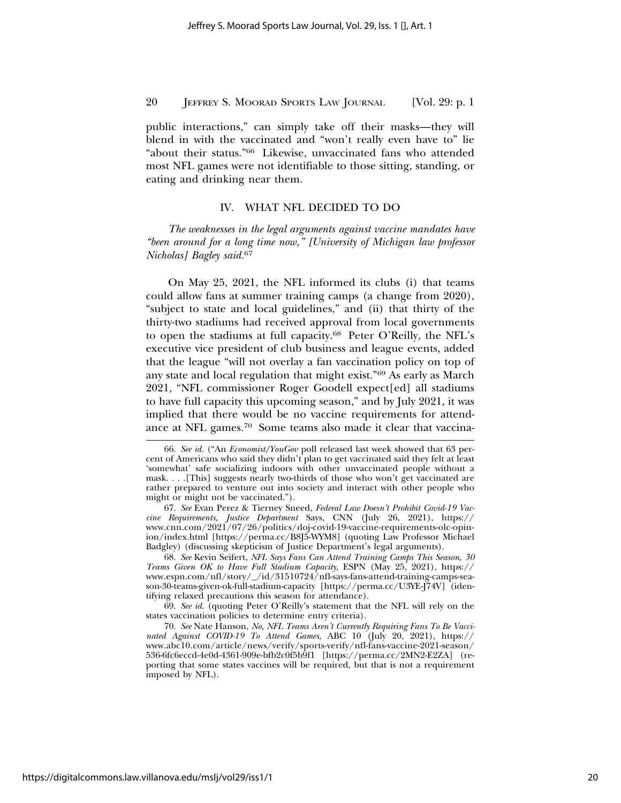public interactions," can simply take off their masks—they will blend in with the vaccinated and "won't really even have to" lie "about their status."66 Likewise, unvaccinated fans who attended most NFL games were not identifiable to those sitting, standing, or eating and drinking near them.

#### IV. WHAT NFL DECIDED TO DO

*The weaknesses in the legal arguments against vaccine mandates have "been around for a long time now," [University of Michigan law professor Nicholas] Bagley said.*<sup>67</sup>

On May 25, 2021, the NFL informed its clubs (i) that teams could allow fans at summer training camps (a change from 2020), "subject to state and local guidelines," and (ii) that thirty of the thirty-two stadiums had received approval from local governments to open the stadiums at full capacity.68 Peter O'Reilly, the NFL's executive vice president of club business and league events, added that the league "will not overlay a fan vaccination policy on top of any state and local regulation that might exist."69 As early as March 2021, "NFL commissioner Roger Goodell expect[ed] all stadiums to have full capacity this upcoming season," and by July 2021, it was implied that there would be no vaccine requirements for attendance at NFL games.70 Some teams also made it clear that vaccina-

68. *See* Kevin Seifert, *NFL Says Fans Can Attend Training Camps This Season, 30 Teams Given OK to Have Full Stadium Capacity*, ESPN (May 25, 2021), https:// www.espn.com/nfl/story/\_/id/31510724/nfl-says-fans-attend-training-camps-season-30-teams-given-ok-full-stadium-capacity [https://perma.cc/U3YE-J74V] (identifying relaxed precautions this season for attendance).

69. *See id*. (quoting Peter O'Reilly's statement that the NFL will rely on the states vaccination policies to determine entry criteria).

<sup>66.</sup> *See id.* ("An *Economist/YouGov* poll released last week showed that 63 percent of Americans who said they didn't plan to get vaccinated said they felt at least 'somewhat' safe socializing indoors with other unvaccinated people without a mask. . . .[This] suggests nearly two-thirds of those who won't get vaccinated are rather prepared to venture out into society and interact with other people who might or might not be vaccinated.").

<sup>67.</sup> *See* Evan Perez & Tierney Sneed, *Federal Law Doesn't Prohibit Covid-19 Vaccine Requirements, Justice Department* Says, CNN (July 26, 2021), https:// www.cnn.com/2021/07/26/politics/doj-covid-19-vaccine-requirements-olc-opinion/index.html [https://perma.cc/B8J5-WYM8] (quoting Law Professor Michael Badgley) (discussing skepticism of Justice Department's legal arguments).

<sup>70.</sup> *See* Nate Hanson, *No, NFL Teams Aren't Currently Requiring Fans To Be Vaccinated Against COVID-19 To Attend Games,* ABC 10 (July 20, 2021), https:// www.abc10.com/article/news/verify/sports-verify/nfl-fans-vaccine-2021-season/ 536-6fc6eccd-4e0d-4361-909e-bfb2c0f5b9f1 [https://perma.cc/2MN2-E2ZA] (reporting that some states vaccines will be required, but that is not a requirement imposed by NFL).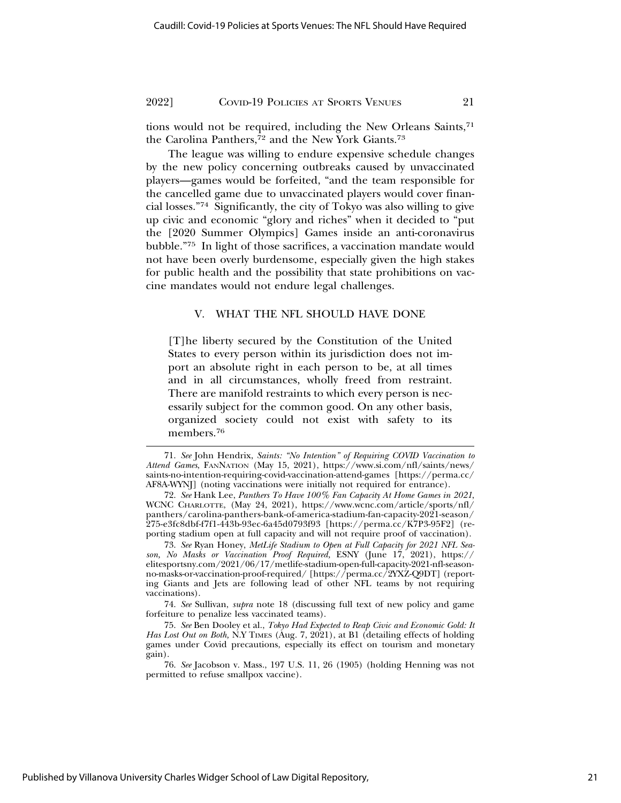tions would not be required, including the New Orleans Saints,71 the Carolina Panthers,<sup>72</sup> and the New York Giants.<sup>73</sup>

The league was willing to endure expensive schedule changes by the new policy concerning outbreaks caused by unvaccinated players—games would be forfeited, "and the team responsible for the cancelled game due to unvaccinated players would cover financial losses."74 Significantly, the city of Tokyo was also willing to give up civic and economic "glory and riches" when it decided to "put the [2020 Summer Olympics] Games inside an anti-coronavirus bubble."75 In light of those sacrifices, a vaccination mandate would not have been overly burdensome, especially given the high stakes for public health and the possibility that state prohibitions on vaccine mandates would not endure legal challenges.

#### V. WHAT THE NFL SHOULD HAVE DONE

[T]he liberty secured by the Constitution of the United States to every person within its jurisdiction does not import an absolute right in each person to be, at all times and in all circumstances, wholly freed from restraint. There are manifold restraints to which every person is necessarily subject for the common good. On any other basis, organized society could not exist with safety to its members.76

<sup>71.</sup> *See* John Hendrix, *Saints: "No Intention" of Requiring COVID Vaccination to Attend Games*, FANNATION (May 15, 2021), https://www.si.com/nfl/saints/news/ saints-no-intention-requiring-covid-vaccination-attend-games [https://perma.cc/ AF8A-WYNJ] (noting vaccinations were initially not required for entrance).

<sup>72.</sup> *See* Hank Lee, *Panthers To Have 100% Fan Capacity At Home Games in 2021*, WCNC CHARLOTTE, (May 24, 2021), https://www.wcnc.com/article/sports/nfl/ panthers/carolina-panthers-bank-of-america-stadium-fan-capacity-2021-season/ 275-e3fc8dbf-f7f1-443b-93ec-6a45d0793f93 [https://perma.cc/K7P3-95F2] (reporting stadium open at full capacity and will not require proof of vaccination).

<sup>73.</sup> *See* Ryan Honey, *MetLife Stadium to Open at Full Capacity for 2021 NFL Season, No Masks or Vaccination Proof Required,* ESNY (June 17, 2021), https:// elitesportsny.com/2021/06/17/metlife-stadium-open-full-capacity-2021-nfl-seasonno-masks-or-vaccination-proof-required/ [https://perma.cc/2YXZ-Q9DT] (reporting Giants and Jets are following lead of other NFL teams by not requiring vaccinations).

<sup>74.</sup> *See* Sullivan, *supra* note 18 (discussing full text of new policy and game forfeiture to penalize less vaccinated teams).

<sup>75.</sup> *See* Ben Dooley et al., *Tokyo Had Expected to Reap Civic and Economic Gold: It* Has Lost Out on Both, N.Y TIMES (Aug. 7, 2021), at B1 (detailing effects of holding games under Covid precautions, especially its effect on tourism and monetary gain).

<sup>76.</sup> *See* Jacobson v. Mass., 197 U.S. 11, 26 (1905) (holding Henning was not permitted to refuse smallpox vaccine).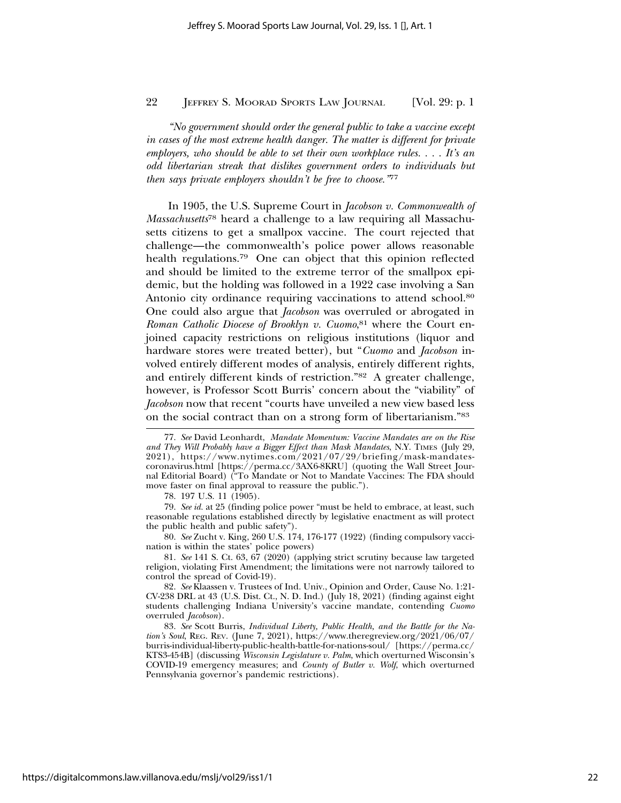*"No government should order the general public to take a vaccine except in cases of the most extreme health danger. The matter is different for private employers, who should be able to set their own workplace rules. . . . It's an odd libertarian streak that dislikes government orders to individuals but then says private employers shouldn't be free to choose."*<sup>77</sup>

In 1905, the U.S. Supreme Court in *Jacobson v. Commonwealth of Massachusetts*78 heard a challenge to a law requiring all Massachusetts citizens to get a smallpox vaccine. The court rejected that challenge—the commonwealth's police power allows reasonable health regulations.<sup>79</sup> One can object that this opinion reflected and should be limited to the extreme terror of the smallpox epidemic, but the holding was followed in a 1922 case involving a San Antonio city ordinance requiring vaccinations to attend school.80 One could also argue that *Jacobson* was overruled or abrogated in *Roman Catholic Diocese of Brooklyn v. Cuomo*, 81 where the Court enjoined capacity restrictions on religious institutions (liquor and hardware stores were treated better), but "*Cuomo* and *Jacobson* involved entirely different modes of analysis, entirely different rights, and entirely different kinds of restriction."82 A greater challenge, however, is Professor Scott Burris' concern about the "viability" of *Jacobson* now that recent "courts have unveiled a new view based less on the social contract than on a strong form of libertarianism."83

80. *See* Zucht v. King, 260 U.S. 174, 176-177 (1922) (finding compulsory vaccination is within the states' police powers)

81. *See* 141 S. Ct. 63, 67 (2020) (applying strict scrutiny because law targeted religion, violating First Amendment; the limitations were not narrowly tailored to control the spread of Covid-19).

82. *See* Klaassen v. Trustees of Ind. Univ., Opinion and Order, Cause No. 1:21-  $CV-238$  DRL at 43 (U.S. Dist. Ct., N. D. Ind.) (July 18, 2021) (finding against eight students challenging Indiana University's vaccine mandate, contending *Cuomo* overruled *Jacobson*).

83. *See* Scott Burris, *Individual Liberty, Public Health, and the Battle for the Nation's Soul*, REG. REV. (June 7, 2021), https://www.theregreview.org/2021/06/07/ burris-individual-liberty-public-health-battle-for-nations-soul/ [https://perma.cc/ KTS3-454B] (discussing *Wisconsin Legislature v. Palm*, which overturned Wisconsin's COVID-19 emergency measures; and *County of Butler v. Wolf*, which overturned Pennsylvania governor's pandemic restrictions).

<sup>77.</sup> *See* David Leonhardt, *Mandate Momentum: Vaccine Mandates are on the Rise and They Will Probably have a Bigger Effect than Mask Mandates*, N.Y. TIMES (July 29, 2021), https://www.nytimes.com/2021/07/29/briefing/mask-mandatescoronavirus.html [https://perma.cc/3AX6-8KRU] (quoting the Wall Street Journal Editorial Board) ("To Mandate or Not to Mandate Vaccines: The FDA should move faster on final approval to reassure the public.").

<sup>78. 197</sup> U.S. 11 (1905).

<sup>79.</sup> *See id.* at 25 (finding police power "must be held to embrace, at least, such reasonable regulations established directly by legislative enactment as will protect the public health and public safety").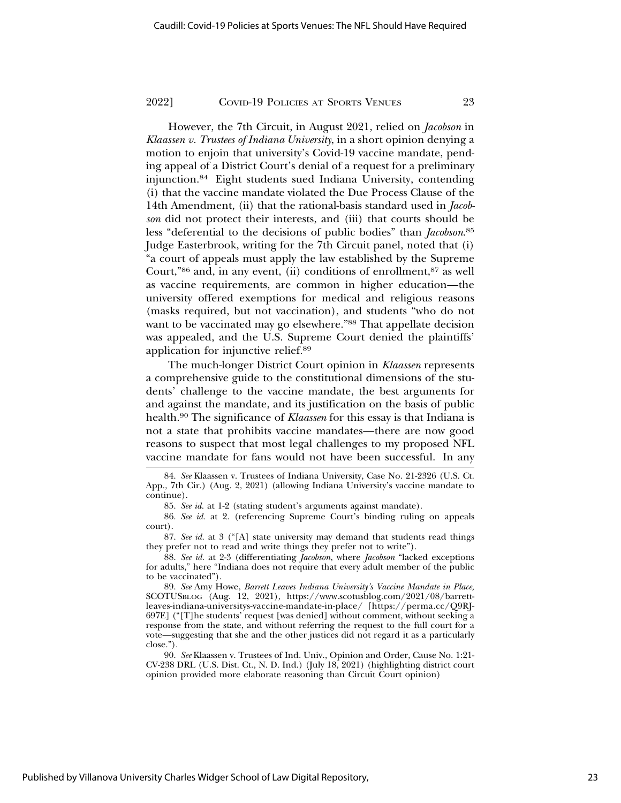However, the 7th Circuit, in August 2021, relied on *Jacobson* in *Klaassen v. Trustees of Indiana University*, in a short opinion denying a motion to enjoin that university's Covid-19 vaccine mandate, pending appeal of a District Court's denial of a request for a preliminary injunction.84 Eight students sued Indiana University, contending (i) that the vaccine mandate violated the Due Process Clause of the 14th Amendment, (ii) that the rational-basis standard used in *Jacobson* did not protect their interests, and (iii) that courts should be less "deferential to the decisions of public bodies" than *Jacobson*. 85 Judge Easterbrook, writing for the 7th Circuit panel, noted that (i) "a court of appeals must apply the law established by the Supreme Court,"86 and, in any event, (ii) conditions of enrollment,87 as well as vaccine requirements, are common in higher education—the university offered exemptions for medical and religious reasons (masks required, but not vaccination), and students "who do not want to be vaccinated may go elsewhere."<sup>88</sup> That appellate decision was appealed, and the U.S. Supreme Court denied the plaintiffs' application for injunctive relief.89

The much-longer District Court opinion in *Klaassen* represents a comprehensive guide to the constitutional dimensions of the students' challenge to the vaccine mandate, the best arguments for and against the mandate, and its justification on the basis of public health.90 The significance of *Klaassen* for this essay is that Indiana is not a state that prohibits vaccine mandates—there are now good reasons to suspect that most legal challenges to my proposed NFL vaccine mandate for fans would not have been successful. In any

<sup>84.</sup> *See* Klaassen v. Trustees of Indiana University, Case No. 21-2326 (U.S. Ct. App., 7th Cir.) (Aug. 2, 2021) (allowing Indiana University's vaccine mandate to continue).

<sup>85.</sup> *See id.* at 1-2 (stating student's arguments against mandate).

<sup>86.</sup> *See id.* at 2. (referencing Supreme Court's binding ruling on appeals court).

<sup>87.</sup> *See id.* at 3 ("[A] state university may demand that students read things they prefer not to read and write things they prefer not to write").

<sup>88.</sup> *See id.* at 2-3 (differentiating *Jacobson*, where *Jacobson* "lacked exceptions for adults," here "Indiana does not require that every adult member of the public to be vaccinated").

<sup>89.</sup> *See* Amy Howe, *Barrett Leaves Indiana University's Vaccine Mandate in Place,* SCOTUSBLOG (Aug. 12, 2021), https://www.scotusblog.com/2021/08/barrettleaves-indiana-universitys-vaccine-mandate-in-place/ [https://perma.cc/Q9RJ-697E] ("[T]he students' request [was denied] without comment, without seeking a response from the state, and without referring the request to the full court for a vote—suggesting that she and the other justices did not regard it as a particularly close.").

<sup>90.</sup> *See* Klaassen v. Trustees of Ind. Univ., Opinion and Order, Cause No. 1:21- CV-238 DRL (U.S. Dist. Ct., N. D. Ind.) (July 18, 2021) (highlighting district court opinion provided more elaborate reasoning than Circuit Court opinion)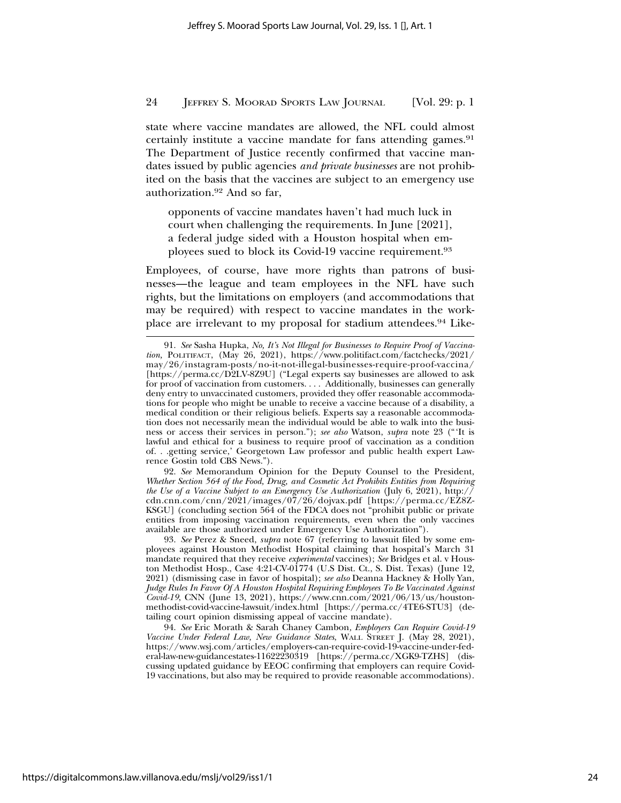state where vaccine mandates are allowed, the NFL could almost certainly institute a vaccine mandate for fans attending games.<sup>91</sup> The Department of Justice recently confirmed that vaccine mandates issued by public agencies *and private businesses* are not prohibited on the basis that the vaccines are subject to an emergency use authorization.92 And so far,

opponents of vaccine mandates haven't had much luck in court when challenging the requirements. In June [2021], a federal judge sided with a Houston hospital when employees sued to block its Covid-19 vaccine requirement.93

Employees, of course, have more rights than patrons of businesses—the league and team employees in the NFL have such rights, but the limitations on employers (and accommodations that may be required) with respect to vaccine mandates in the workplace are irrelevant to my proposal for stadium attendees.94 Like-

92. *See* Memorandum Opinion for the Deputy Counsel to the President, *Whether Section 564 of the Food, Drug, and Cosmetic Act Prohibits Entities from Requiring the Use of a Vaccine Subject to an Emergency Use Authorization* (July 6, 2021), http:// cdn.cnn.com/cnn/2021/images/07/26/dojvax.pdf [https://perma.cc/EZ8Z-KSGU] (concluding section 564 of the FDCA does not "prohibit public or private entities from imposing vaccination requirements, even when the only vaccines available are those authorized under Emergency Use Authorization").

93. *See* Perez & Sneed, *supra* note 67 (referring to lawsuit filed by some employees against Houston Methodist Hospital claiming that hospital's March 31 mandate required that they receive *experimental* vaccines); *See* Bridges et al. v Houston Methodist Hosp., Case 4:21-CV-01774 (U.S Dist. Ct., S. Dist. Texas) (June 12, 2021) (dismissing case in favor of hospital); *see also* Deanna Hackney & Holly Yan, *Judge Rules In Favor Of A Houston Hospital Requiring Employees To Be Vaccinated Against Covid-19*, CNN (June 13, 2021), https://www.cnn.com/2021/06/13/us/houstonmethodist-covid-vaccine-lawsuit/index.html [https://perma.cc/4TE6-STU3] (detailing court opinion dismissing appeal of vaccine mandate).

94. *See* Eric Morath & Sarah Chaney Cambon*, Employers Can Require Covid-19 Vaccine Under Federal Law, New Guidance States*, WALL STREET J. (May 28, 2021), https://www.wsj.com/articles/employers-can-require-covid-19-vaccine-under-federal-law-new-guidancestates-11622230319 [https://perma.cc/XGK9-TZHS] (discussing updated guidance by EEOC confirming that employers can require Covid-19 vaccinations, but also may be required to provide reasonable accommodations).

<sup>91.</sup> *See* Sasha Hupka, *No, It's Not Illegal for Businesses to Require Proof of Vaccination,* POLITIFACT, (May 26, 2021), https://www.politifact.com/factchecks/2021/ may/26/instagram-posts/no-it-not-illegal-businesses-require-proof-vaccina/ [https://perma.cc/D2LV-8Z9U] ("Legal experts say businesses are allowed to ask for proof of vaccination from customers. . . . Additionally, businesses can generally deny entry to unvaccinated customers, provided they offer reasonable accommodations for people who might be unable to receive a vaccine because of a disability, a medical condition or their religious beliefs. Experts say a reasonable accommodation does not necessarily mean the individual would be able to walk into the business or access their services in person."); *see also* Watson, *supra* note 23 ("'It is lawful and ethical for a business to require proof of vaccination as a condition of. . .getting service,' Georgetown Law professor and public health expert Lawrence Gostin told CBS News.").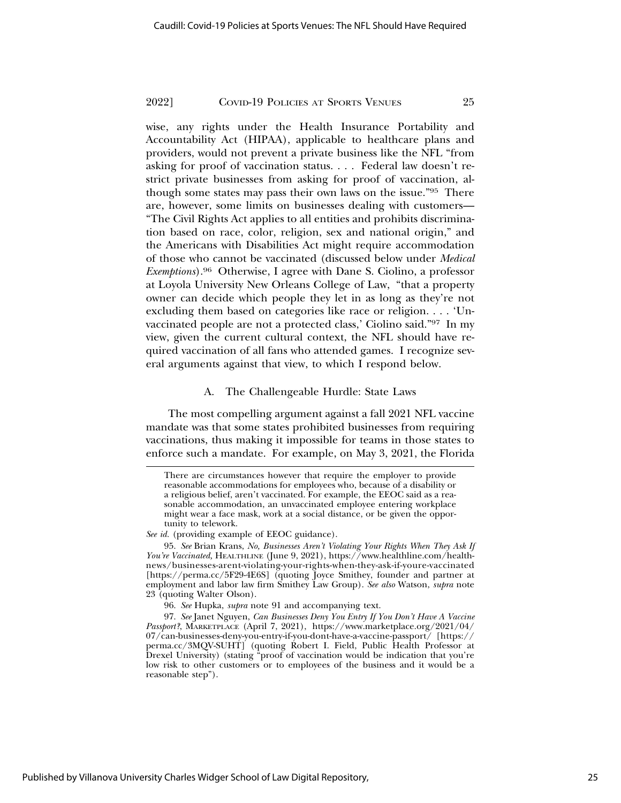wise, any rights under the Health Insurance Portability and Accountability Act (HIPAA), applicable to healthcare plans and providers, would not prevent a private business like the NFL "from asking for proof of vaccination status. . . . Federal law doesn't restrict private businesses from asking for proof of vaccination, although some states may pass their own laws on the issue."95 There are, however, some limits on businesses dealing with customers— "The Civil Rights Act applies to all entities and prohibits discrimination based on race, color, religion, sex and national origin," and the Americans with Disabilities Act might require accommodation of those who cannot be vaccinated (discussed below under *Medical Exemptions*).96 Otherwise, I agree with Dane S. Ciolino, a professor at Loyola University New Orleans College of Law, "that a property owner can decide which people they let in as long as they're not excluding them based on categories like race or religion. . . . 'Unvaccinated people are not a protected class,' Ciolino said."97 In my view, given the current cultural context, the NFL should have required vaccination of all fans who attended games. I recognize several arguments against that view, to which I respond below.

#### A. The Challengeable Hurdle: State Laws

The most compelling argument against a fall 2021 NFL vaccine mandate was that some states prohibited businesses from requiring vaccinations, thus making it impossible for teams in those states to enforce such a mandate. For example, on May 3, 2021, the Florida

There are circumstances however that require the employer to provide reasonable accommodations for employees who, because of a disability or a religious belief, aren't vaccinated. For example, the EEOC said as a reasonable accommodation, an unvaccinated employee entering workplace might wear a face mask, work at a social distance, or be given the opportunity to telework.

*See id.* (providing example of EEOC guidance).

<sup>95.</sup> *See* Brian Krans, *No, Businesses Aren't Violating Your Rights When They Ask If You're Vaccinated,* HEALTHLINE (June 9, 2021), https://www.healthline.com/healthnews/businesses-arent-violating-your-rights-when-they-ask-if-youre-vaccinated [https://perma.cc/5F29-4E6S] (quoting Joyce Smithey, founder and partner at employment and labor law firm Smithey Law Group). *See also* Watson, *supra* note 23 (quoting Walter Olson).

<sup>96.</sup> *See* Hupka, *supra* note 91 and accompanying text.

<sup>97.</sup> *See* Janet Nguyen, *Can Businesses Deny You Entry If You Don't Have A Vaccine Passport?*, MARKETPLACE (April 7, 2021), https://www.marketplace.org/2021/04/ 07/can-businesses-deny-you-entry-if-you-dont-have-a-vaccine-passport/ [https:// perma.cc/3MQV-SUHT] (quoting Robert I. Field, Public Health Professor at Drexel University) (stating "proof of vaccination would be indication that you're low risk to other customers or to employees of the business and it would be a reasonable step").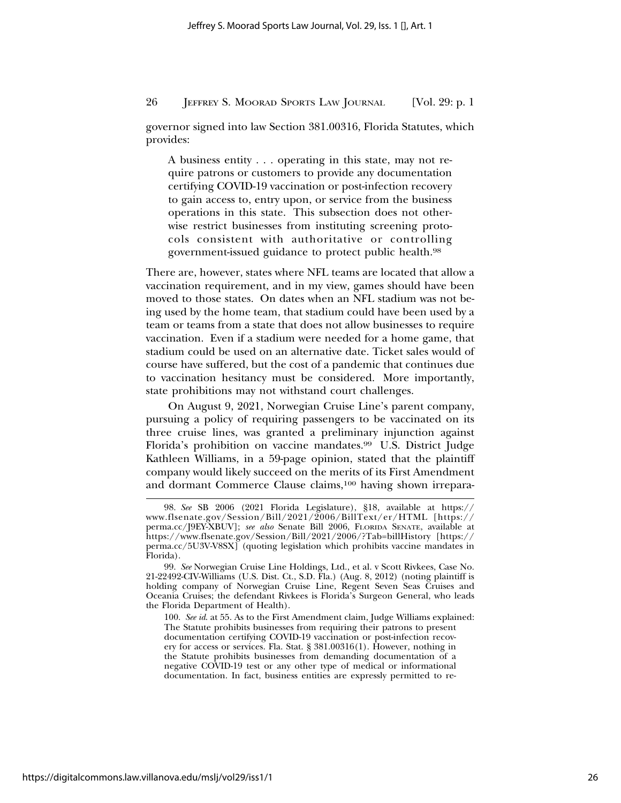governor signed into law Section 381.00316, Florida Statutes, which provides:

A business entity . . . operating in this state, may not require patrons or customers to provide any documentation certifying COVID-19 vaccination or post-infection recovery to gain access to, entry upon, or service from the business operations in this state. This subsection does not otherwise restrict businesses from instituting screening protocols consistent with authoritative or controlling government-issued guidance to protect public health.98

There are, however, states where NFL teams are located that allow a vaccination requirement, and in my view, games should have been moved to those states. On dates when an NFL stadium was not being used by the home team, that stadium could have been used by a team or teams from a state that does not allow businesses to require vaccination. Even if a stadium were needed for a home game, that stadium could be used on an alternative date. Ticket sales would of course have suffered, but the cost of a pandemic that continues due to vaccination hesitancy must be considered. More importantly, state prohibitions may not withstand court challenges.

On August 9, 2021, Norwegian Cruise Line's parent company, pursuing a policy of requiring passengers to be vaccinated on its three cruise lines, was granted a preliminary injunction against Florida's prohibition on vaccine mandates.99 U.S. District Judge Kathleen Williams, in a 59-page opinion, stated that the plaintiff company would likely succeed on the merits of its First Amendment and dormant Commerce Clause claims,100 having shown irrepara-

100. *See id*. at 55. As to the First Amendment claim, Judge Williams explained: The Statute prohibits businesses from requiring their patrons to present documentation certifying COVID-19 vaccination or post-infection recovery for access or services. Fla. Stat. § 381.00316(1). However, nothing in the Statute prohibits businesses from demanding documentation of a negative COVID-19 test or any other type of medical or informational documentation. In fact, business entities are expressly permitted to re-

<sup>98.</sup> *See* SB 2006 (2021 Florida Legislature), §18, available at https:// www.flsenate.gov/Session/Bill/2021/2006/BillText/er/HTML [https:// perma.cc/J9EY-XBUV]; *see also* Senate Bill 2006, FLORIDA SENATE, available at https://www.flsenate.gov/Session/Bill/2021/2006/?Tab=billHistory [https:// perma.cc/5U3V-V8SX] (quoting legislation which prohibits vaccine mandates in Florida).

<sup>99.</sup> *See* Norwegian Cruise Line Holdings, Ltd., et al. v Scott Rivkees, Case No. 21-22492-CIV-Williams (U.S. Dist. Ct., S.D. Fla.) (Aug. 8, 2012) (noting plaintiff is holding company of Norwegian Cruise Line, Regent Seven Seas Cruises and Oceania Cruises; the defendant Rivkees is Florida's Surgeon General, who leads the Florida Department of Health).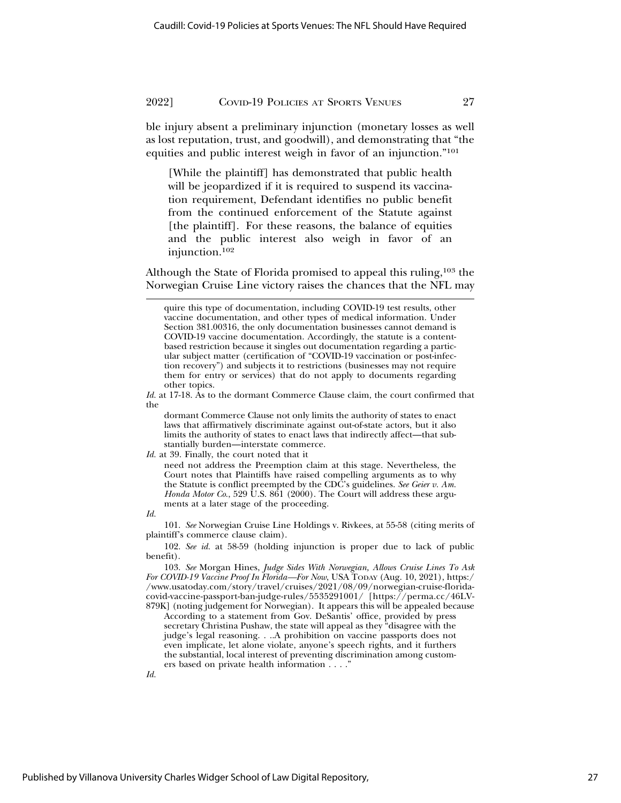ble injury absent a preliminary injunction (monetary losses as well as lost reputation, trust, and goodwill), and demonstrating that "the equities and public interest weigh in favor of an injunction."101

[While the plaintiff] has demonstrated that public health will be jeopardized if it is required to suspend its vaccination requirement, Defendant identifies no public benefit from the continued enforcement of the Statute against [the plaintiff]. For these reasons, the balance of equities and the public interest also weigh in favor of an injunction.102

Although the State of Florida promised to appeal this ruling,<sup>103</sup> the Norwegian Cruise Line victory raises the chances that the NFL may

dormant Commerce Clause not only limits the authority of states to enact laws that affirmatively discriminate against out-of-state actors, but it also limits the authority of states to enact laws that indirectly affect—that substantially burden—interstate commerce.

*Id.* at 39. Finally, the court noted that it

need not address the Preemption claim at this stage. Nevertheless, the Court notes that Plaintiffs have raised compelling arguments as to why the Statute is conflict preempted by the CDC's guidelines. *See Geier v. Am. Honda Motor Co.*, 529 U.S. 861 (2000). The Court will address these arguments at a later stage of the proceeding.

*Id.*

101. *See* Norwegian Cruise Line Holdings v. Rivkees, at 55-58 (citing merits of plaintiff's commerce clause claim).

102. *See id.* at 58-59 (holding injunction is proper due to lack of public benefit).

103. *See* Morgan Hines, *Judge Sides With Norwegian, Allows Cruise Lines To Ask For COVID-19 Vaccine Proof In Florida—For Now*, USA TODAY (Aug. 10, 2021), https:/ /www.usatoday.com/story/travel/cruises/2021/08/09/norwegian-cruise-floridacovid-vaccine-passport-ban-judge-rules/5535291001/ [https://perma.cc/46LV-879K] (noting judgement for Norwegian). It appears this will be appealed because

According to a statement from Gov. DeSantis' office, provided by press secretary Christina Pushaw, the state will appeal as they "disagree with the judge's legal reasoning. . ..A prohibition on vaccine passports does not even implicate, let alone violate, anyone's speech rights, and it furthers the substantial, local interest of preventing discrimination among customers based on private health information . . . ."

*Id.*

quire this type of documentation, including COVID-19 test results, other vaccine documentation, and other types of medical information. Under Section 381.00316, the only documentation businesses cannot demand is COVID-19 vaccine documentation. Accordingly, the statute is a contentbased restriction because it singles out documentation regarding a particular subject matter (certification of "COVID-19 vaccination or post-infection recovery") and subjects it to restrictions (businesses may not require them for entry or services) that do not apply to documents regarding other topics.

*Id.* at 17-18. As to the dormant Commerce Clause claim, the court confirmed that the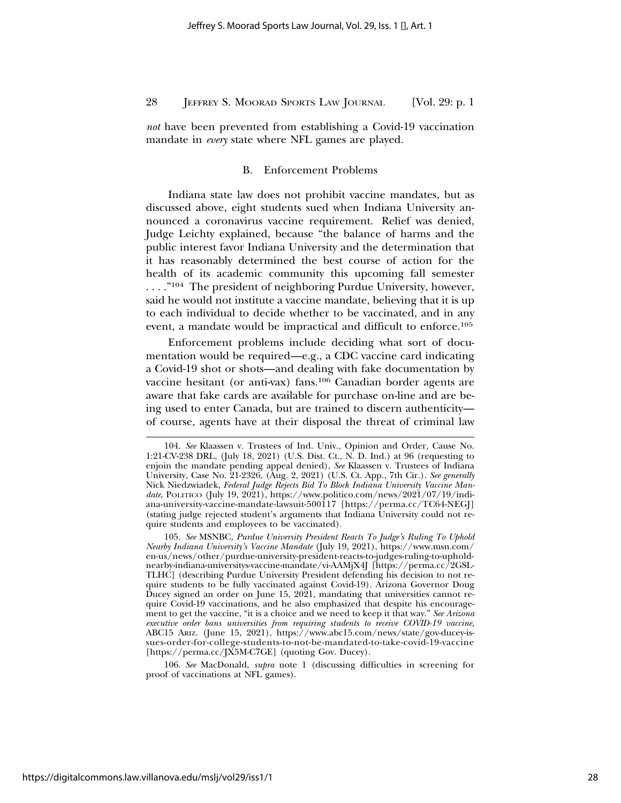*not* have been prevented from establishing a Covid-19 vaccination mandate in *every* state where NFL games are played.

#### B. Enforcement Problems

Indiana state law does not prohibit vaccine mandates, but as discussed above, eight students sued when Indiana University announced a coronavirus vaccine requirement. Relief was denied, Judge Leichty explained, because "the balance of harms and the public interest favor Indiana University and the determination that it has reasonably determined the best course of action for the health of its academic community this upcoming fall semester ...."<sup>104</sup> The president of neighboring Purdue University, however, said he would not institute a vaccine mandate, believing that it is up to each individual to decide whether to be vaccinated, and in any event, a mandate would be impractical and difficult to enforce.105

Enforcement problems include deciding what sort of documentation would be required—e.g., a CDC vaccine card indicating a Covid-19 shot or shots—and dealing with fake documentation by vaccine hesitant (or anti-vax) fans.106 Canadian border agents are aware that fake cards are available for purchase on-line and are being used to enter Canada, but are trained to discern authenticity of course, agents have at their disposal the threat of criminal law

106. *See* MacDonald, *supra* note 1 (discussing difficulties in screening for proof of vaccinations at NFL games).

<sup>104.</sup> *See* Klaassen v. Trustees of Ind. Univ., Opinion and Order, Cause No. 1:21-CV-238 DRL, (July 18, 2021) (U.S. Dist. Ct., N. D. Ind.) at 96 (requesting to enjoin the mandate pending appeal denied), *See* Klaassen v. Trustees of Indiana University, Case No. 21-2326, (Aug. 2, 2021) (U.S. Ct. App., 7th Cir.). *See generally* Nick Niedzwiadek, *Federal Judge Rejects Bid To Block Indiana University Vaccine Mandate*, POLITICO (July 19, 2021), https://www.politico.com/news/2021/07/19/indiana-university-vaccine-mandate-lawsuit-500117 [https://perma.cc/TC64-NEGJ] (stating judge rejected student's arguments that Indiana University could not require students and employees to be vaccinated).

<sup>105.</sup> *See* MSNBC, *Purdue University President Reacts To Judge's Ruling To Uphold Nearby Indiana University's Vaccine Mandate* (July 19, 2021), https://www.msn.com/ en-us/news/other/purdue-university-president-reacts-to-judges-ruling-to-upholdnearby-indiana-universitys-vaccine-mandate/vi-AAMjX4J [https://perma.cc/2GSL-TLHC] (describing Purdue University President defending his decision to not require students to be fully vaccinated against Covid-19). Arizona Governor Doug Ducey signed an order on June 15, 2021, mandating that universities cannot require Covid-19 vaccinations, and he also emphasized that despite his encouragement to get the vaccine, "it is a choice and we need to keep it that way." *See Arizona executive order bans universities from requiring students to receive COVID-19 vaccine*, ABC15 ARIZ. (June 15, 2021), https://www.abc15.com/news/state/gov-ducey-issues-order-for-college-students-to-not-be-mandated-to-take-covid-19-vaccine [https://perma.cc/JX5M-C7GE] (quoting Gov. Ducey).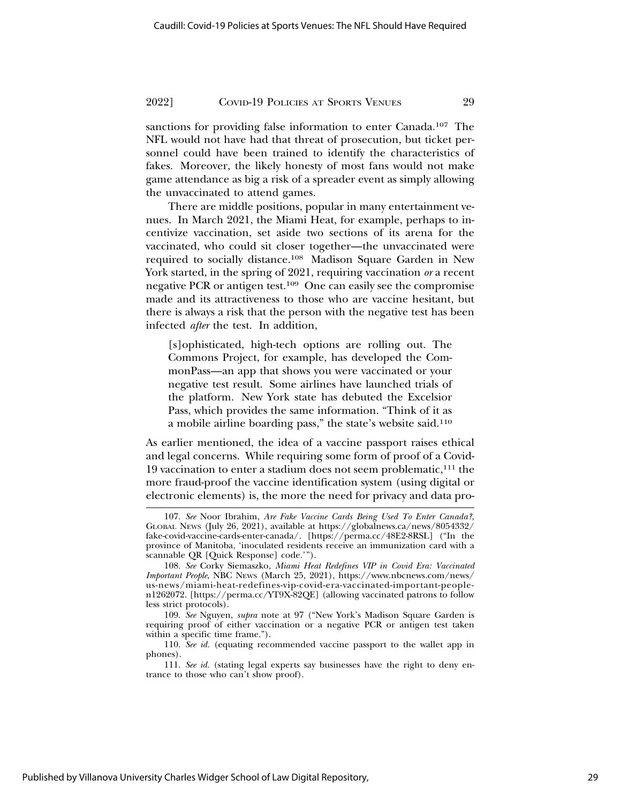sanctions for providing false information to enter Canada.107 The NFL would not have had that threat of prosecution, but ticket personnel could have been trained to identify the characteristics of fakes. Moreover, the likely honesty of most fans would not make game attendance as big a risk of a spreader event as simply allowing the unvaccinated to attend games.

There are middle positions, popular in many entertainment venues. In March 2021, the Miami Heat, for example, perhaps to incentivize vaccination, set aside two sections of its arena for the vaccinated, who could sit closer together—the unvaccinated were required to socially distance.108 Madison Square Garden in New York started, in the spring of 2021, requiring vaccination *or* a recent negative PCR or antigen test.109 One can easily see the compromise made and its attractiveness to those who are vaccine hesitant, but there is always a risk that the person with the negative test has been infected *after* the test. In addition,

[s]ophisticated, high-tech options are rolling out. The Commons Project, for example, has developed the CommonPass—an app that shows you were vaccinated or your negative test result. Some airlines have launched trials of the platform. New York state has debuted the Excelsior Pass, which provides the same information. "Think of it as a mobile airline boarding pass," the state's website said.110

As earlier mentioned, the idea of a vaccine passport raises ethical and legal concerns. While requiring some form of proof of a Covid-19 vaccination to enter a stadium does not seem problematic,111 the more fraud-proof the vaccine identification system (using digital or electronic elements) is, the more the need for privacy and data pro-

<sup>107.</sup> *See* Noor Ibrahim, *Are Fake Vaccine Cards Being Used To Enter Canada?,* GLOBAL NEWS (July 26, 2021), available at https://globalnews.ca/news/8054332/ fake-covid-vaccine-cards-enter-canada/. [https://perma.cc/48E2-8RSL] ("In the province of Manitoba, 'inoculated residents receive an immunization card with a scannable QR [Quick Response] code.'").

<sup>108.</sup> *See* Corky Siemaszko, *Miami Heat Redefines VIP in Covid Era: Vaccinated Important People*, NBC NEWS (March 25, 2021), https://www.nbcnews.com/news/ us-news/miami-heat-redefines-vip-covid-era-vaccinated-important-peoplen1262072. [https://perma.cc/YT9X-82QE] (allowing vaccinated patrons to follow less strict protocols).

<sup>109.</sup> *See* Nguyen, *supra* note at 97 ("New York's Madison Square Garden is requiring proof of either vaccination or a negative PCR or antigen test taken within a specific time frame.").

<sup>110.</sup> *See id.* (equating recommended vaccine passport to the wallet app in phones).

<sup>111.</sup> *See id.* (stating legal experts say businesses have the right to deny entrance to those who can't show proof).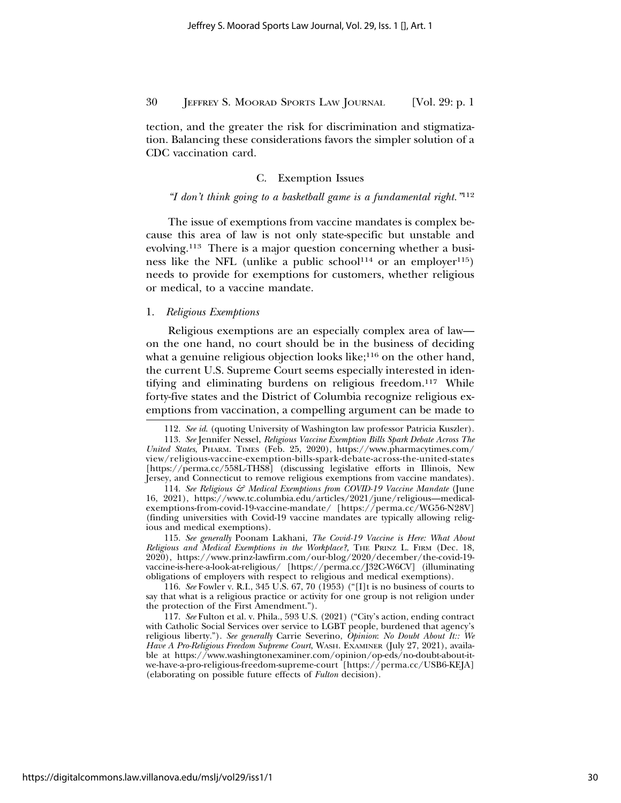tection, and the greater the risk for discrimination and stigmatization. Balancing these considerations favors the simpler solution of a CDC vaccination card.

#### C. Exemption Issues

#### *"I don't think going to a basketball game is a fundamental right."*<sup>112</sup>

The issue of exemptions from vaccine mandates is complex because this area of law is not only state-specific but unstable and evolving.113 There is a major question concerning whether a business like the NFL (unlike a public school<sup>114</sup> or an employer<sup>115</sup>) needs to provide for exemptions for customers, whether religious or medical, to a vaccine mandate.

#### 1. *Religious Exemptions*

Religious exemptions are an especially complex area of law on the one hand, no court should be in the business of deciding what a genuine religious objection looks like; $116$  on the other hand, the current U.S. Supreme Court seems especially interested in identifying and eliminating burdens on religious freedom.117 While forty-five states and the District of Columbia recognize religious exemptions from vaccination, a compelling argument can be made to

114. *See Religious & Medical Exemptions from COVID-19 Vaccine Mandate* (June 16, 2021), https://www.tc.columbia.edu/articles/2021/june/religious—medicalexemptions-from-covid-19-vaccine-mandate/ [https://perma.cc/WG56-N28V] (finding universities with Covid-19 vaccine mandates are typically allowing religious and medical exemptions).

115. *See generally* Poonam Lakhani, *The Covid-19 Vaccine is Here: What About Religious and Medical Exemptions in the Workplace?,* THE PRINZ L. FIRM (Dec. 18, 2020), https://www.prinz-lawfirm.com/our-blog/2020/december/the-covid-19 vaccine-is-here-a-look-at-religious/ [https://perma.cc/J32C-W6CV] (illuminating obligations of employers with respect to religious and medical exemptions).

116. *See* Fowler v. R.I., 345 U.S. 67, 70 (1953) ("[I]t is no business of courts to say that what is a religious practice or activity for one group is not religion under the protection of the First Amendment.").

117. *See* Fulton et al. v. Phila., 593 U.S. (2021) ("City's action, ending contract with Catholic Social Services over service to LGBT people, burdened that agency's religious liberty."). *See generally* Carrie Severino, *Opinion*: *No Doubt About It:: We Have A Pro-Religious Freedom Supreme Court*, WASH. EXAMINER (July 27, 2021), available at https://www.washingtonexaminer.com/opinion/op-eds/no-doubt-about-itwe-have-a-pro-religious-freedom-supreme-court [https://perma.cc/USB6-KEJA] (elaborating on possible future effects of *Fulton* decision).

<sup>112.</sup> *See id*. (quoting University of Washington law professor Patricia Kuszler).

<sup>113.</sup> *See* Jennifer Nessel, *Religious Vaccine Exemption Bills Spark Debate Across The United States*, PHARM. TIMES (Feb. 25, 2020), https://www.pharmacytimes.com/ view/religious-vaccine-exemption-bills-spark-debate-across-the-united-states [https://perma.cc/558L-THS8] (discussing legislative efforts in Illinois, New Jersey, and Connecticut to remove religious exemptions from vaccine mandates).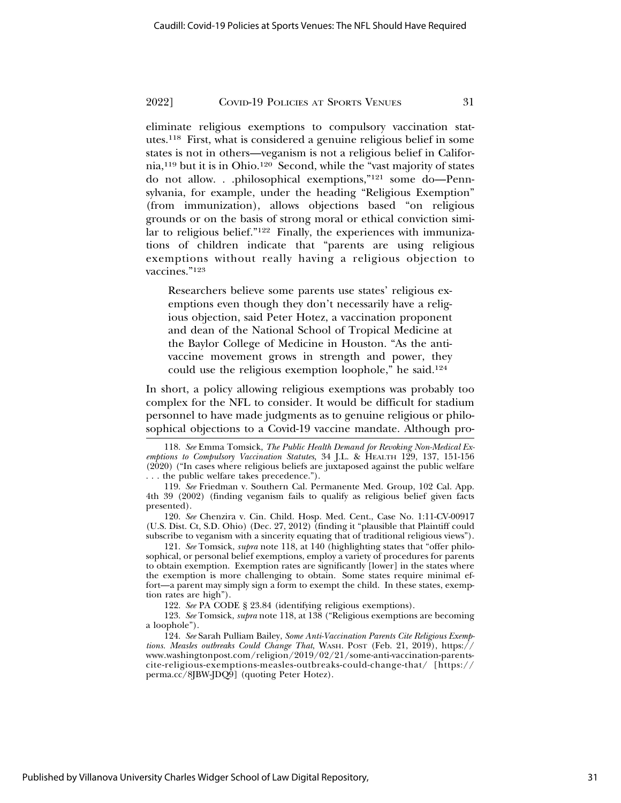eliminate religious exemptions to compulsory vaccination statutes.118 First, what is considered a genuine religious belief in some states is not in others—veganism is not a religious belief in California,119 but it is in Ohio.120 Second, while the "vast majority of states do not allow. . .philosophical exemptions,"121 some do—Pennsylvania, for example, under the heading "Religious Exemption" (from immunization), allows objections based "on religious grounds or on the basis of strong moral or ethical conviction similar to religious belief."122 Finally, the experiences with immunizations of children indicate that "parents are using religious exemptions without really having a religious objection to vaccines."123

Researchers believe some parents use states' religious exemptions even though they don't necessarily have a religious objection, said Peter Hotez, a vaccination proponent and dean of the National School of Tropical Medicine at the Baylor College of Medicine in Houston. "As the antivaccine movement grows in strength and power, they could use the religious exemption loophole," he said.124

In short, a policy allowing religious exemptions was probably too complex for the NFL to consider. It would be difficult for stadium personnel to have made judgments as to genuine religious or philosophical objections to a Covid-19 vaccine mandate. Although pro-

120. *See* Chenzira v. Cin. Child. Hosp. Med. Cent., Case No. 1:11-CV-00917 (U.S. Dist. Ct, S.D. Ohio) (Dec. 27, 2012) (finding it "plausible that Plaintiff could subscribe to veganism with a sincerity equating that of traditional religious views").

121. *See* Tomsick, *supra* note 118, at 140 (highlighting states that "offer philosophical, or personal belief exemptions, employ a variety of procedures for parents to obtain exemption. Exemption rates are significantly [lower] in the states where the exemption is more challenging to obtain. Some states require minimal effort—a parent may simply sign a form to exempt the child. In these states, exemption rates are high").

122. *See* PA CODE § 23.84 (identifying religious exemptions).

123. *See* Tomsick, *supra* note 118, at 138 ("Religious exemptions are becoming a loophole").

124. *See* Sarah Pulliam Bailey, *Some Anti-Vaccination Parents Cite Religious Exemptions. Measles outbreaks Could Change That*, WASH. POST (Feb. 21, 2019), https:// www.washingtonpost.com/religion/2019/02/21/some-anti-vaccination-parentscite-religious-exemptions-measles-outbreaks-could-change-that/ [https:// perma.cc/8JBW-JDQ9] (quoting Peter Hotez).

<sup>118.</sup> *See* Emma Tomsick, *The Public Health Demand for Revoking Non-Medical Exemptions to Compulsory Vaccination Statutes*, 34 J.L. & HEALTH 129, 137, 151-156 (2020) ("In cases where religious beliefs are juxtaposed against the public welfare . . . the public welfare takes precedence.").

<sup>119.</sup> *See* Friedman v. Southern Cal. Permanente Med. Group, 102 Cal. App. 4th 39 (2002) (finding veganism fails to qualify as religious belief given facts presented).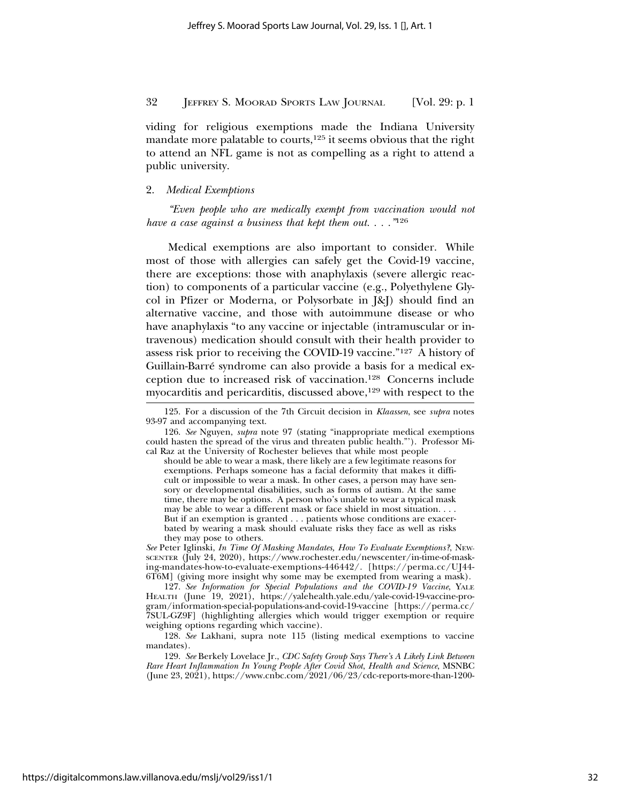viding for religious exemptions made the Indiana University mandate more palatable to courts,<sup>125</sup> it seems obvious that the right to attend an NFL game is not as compelling as a right to attend a public university.

#### 2. *Medical Exemptions*

*"Even people who are medically exempt from vaccination would not have a case against a business that kept them out. . . ."*<sup>126</sup>

Medical exemptions are also important to consider. While most of those with allergies can safely get the Covid-19 vaccine, there are exceptions: those with anaphylaxis (severe allergic reaction) to components of a particular vaccine (e.g., Polyethylene Glycol in Pfizer or Moderna, or Polysorbate in J&J) should find an alternative vaccine, and those with autoimmune disease or who have anaphylaxis "to any vaccine or injectable (intramuscular or intravenous) medication should consult with their health provider to assess risk prior to receiving the COVID-19 vaccine."127 A history of Guillain-Barre syndrome can also provide a basis for a medical ex- ´ ception due to increased risk of vaccination.128 Concerns include myocarditis and pericarditis, discussed above,<sup>129</sup> with respect to the

126. *See* Nguyen, *supra* note 97 (stating "inappropriate medical exemptions could hasten the spread of the virus and threaten public health."'). Professor Mical Raz at the University of Rochester believes that while most people

should be able to wear a mask, there likely are a few legitimate reasons for exemptions. Perhaps someone has a facial deformity that makes it difficult or impossible to wear a mask. In other cases, a person may have sensory or developmental disabilities, such as forms of autism. At the same time, there may be options. A person who's unable to wear a typical mask may be able to wear a different mask or face shield in most situation. . . . But if an exemption is granted . . . patients whose conditions are exacerbated by wearing a mask should evaluate risks they face as well as risks they may pose to others.

*See* Peter Iglinski, *In Time Of Masking Mandates, How To Evaluate Exemptions?*, NEW-SCENTER (July 24, 2020), https://www.rochester.edu/newscenter/in-time-of-masking-mandates-how-to-evaluate-exemptions-446442/. [https://perma.cc/UJ44- 6T6M] (giving more insight why some may be exempted from wearing a mask).

127. *See Information for Special Populations and the COVID-19 Vaccine*, YALE HEALTH (June 19, 2021), https://yalehealth.yale.edu/yale-covid-19-vaccine-program/information-special-populations-and-covid-19-vaccine [https://perma.cc/ 7SUL-GZ9F] (highlighting allergies which would trigger exemption or require weighing options regarding which vaccine).

128. *See* Lakhani, supra note 115 (listing medical exemptions to vaccine mandates).

129. *See* Berkely Lovelace Jr., *CDC Safety Group Says There's A Likely Link Between Rare Heart Inflammation In Young People After Covid Shot*, *Health and Science*, MSNBC (June 23, 2021), https://www.cnbc.com/2021/06/23/cdc-reports-more-than-1200-

<sup>125.</sup> For a discussion of the 7th Circuit decision in *Klaassen*, see *supra* notes 93-97 and accompanying text.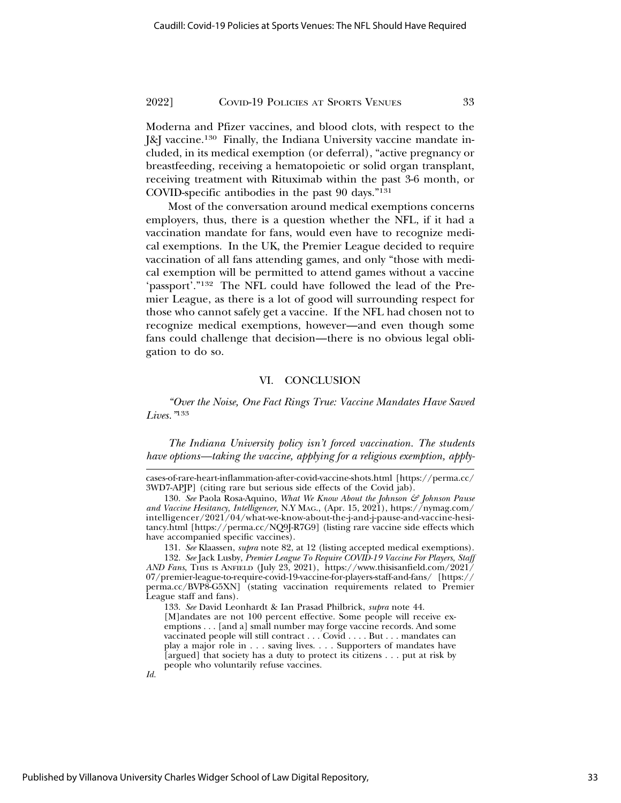Moderna and Pfizer vaccines, and blood clots, with respect to the J&J vaccine.130 Finally, the Indiana University vaccine mandate included, in its medical exemption (or deferral), "active pregnancy or breastfeeding, receiving a hematopoietic or solid organ transplant, receiving treatment with Rituximab within the past 3-6 month, or COVID-specific antibodies in the past 90 days."131

Most of the conversation around medical exemptions concerns employers, thus, there is a question whether the NFL, if it had a vaccination mandate for fans, would even have to recognize medical exemptions. In the UK, the Premier League decided to require vaccination of all fans attending games, and only "those with medical exemption will be permitted to attend games without a vaccine 'passport'."132 The NFL could have followed the lead of the Premier League, as there is a lot of good will surrounding respect for those who cannot safely get a vaccine. If the NFL had chosen not to recognize medical exemptions, however—and even though some fans could challenge that decision—there is no obvious legal obligation to do so.

#### VI. CONCLUSION

*"Over the Noise, One Fact Rings True: Vaccine Mandates Have Saved Lives."*<sup>133</sup>

*The Indiana University policy isn't forced vaccination. The students have options—taking the vaccine, applying for a religious exemption, apply-*

131. *See* Klaassen, *supra* note 82, at 12 (listing accepted medical exemptions).

*Id.*

cases-of-rare-heart-inflammation-after-covid-vaccine-shots.html [https://perma.cc/ 3WD7-APJP] (citing rare but serious side effects of the Covid jab).

<sup>130.</sup> *See* Paola Rosa-Aquino, *What We Know About the Johnson & Johnson Pause and Vaccine Hesitancy, Intelligencer*, N.Y MAG., (Apr. 15, 2021), https://nymag.com/ intelligencer/2021/04/what-we-know-about-the-j-and-j-pause-and-vaccine-hesitancy.html [https://perma.cc/NQ9J-R7G9] (listing rare vaccine side effects which have accompanied specific vaccines).

<sup>132.</sup> *See* Jack Lusby, *Premier League To Require COVID-19 Vaccine For Players, Staff AND Fans*, THIS IS ANFIELD (July 23, 2021), https://www.thisisanfield.com/2021/ 07/premier-league-to-require-covid-19-vaccine-for-players-staff-and-fans/ [https:// perma.cc/BVP8-G5XN] (stating vaccination requirements related to Premier League staff and fans).

<sup>133.</sup> *See* David Leonhardt & Ian Prasad Philbrick, *supra* note 44. [M]andates are not 100 percent effective. Some people will receive exemptions . . . [and a] small number may forge vaccine records. And some vaccinated people will still contract . . . Covid . . . . But . . . mandates can play a major role in . . . saving lives. . . . Supporters of mandates have [argued] that society has a duty to protect its citizens . . . put at risk by people who voluntarily refuse vaccines.